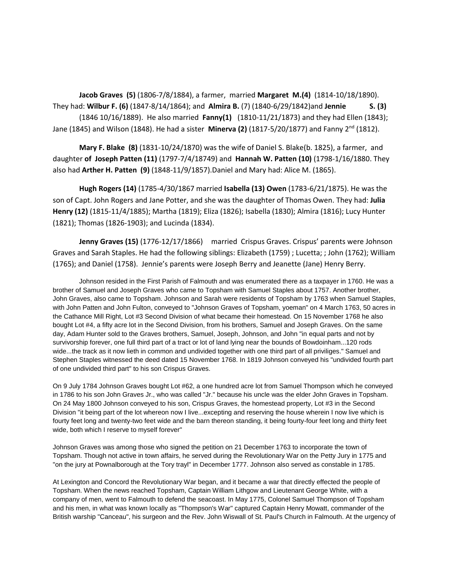**Jacob Graves (5)** (1806-7/8/1884), a farmer, married **Margaret M.(4)** (1814-10/18/1890). They had: **Wilbur F. (6)** (1847-8/14/1864); and **Almira B.** (7) (1840-6/29/1842)and **Jennie S. (3)** (1846 10/16/1889). He also married **Fanny(1)** (1810-11/21/1873) and they had Ellen (1843); Jane (1845) and Wilson (1848). He had a sister **Minerva (2)** (1817-5/20/1877) and Fanny 2nd (1812).

**Mary F. Blake (8)** (1831-10/24/1870) was the wife of Daniel S. Blake(b. 1825), a farmer, and daughter **of Joseph Patten (11)** (1797-7/4/18749) and **Hannah W. Patten (10)** (1798-1/16/1880. They also had **Arther H. Patten (9)** (1848-11/9/1857).Daniel and Mary had: Alice M. (1865).

**Hugh Rogers (14)** (1785-4/30/1867 married **Isabella (13) Owen** (1783-6/21/1875). He was the son of Capt. John Rogers and Jane Potter, and she was the daughter of Thomas Owen. They had: **Julia Henry (12)** (1815-11/4/1885); Martha (1819); Eliza (1826); Isabella (1830); Almira (1816); Lucy Hunter (1821); Thomas (1826-1903); and Lucinda (1834).

**Jenny Graves (15)** (1776-12/17/1866) married Crispus Graves. Crispus' parents were Johnson Graves and Sarah Staples. He had the following siblings: Elizabeth (1759) ; Lucetta; ; John (1762); William (1765); and Daniel (1758). Jennie's parents were Joseph Berry and Jeanette (Jane) Henry Berry.

Johnson resided in the First Parish of Falmouth and was enumerated there as a taxpayer in 1760. He was a brother of Samuel and Joseph Graves who came to Topsham with Samuel Staples about 1757. Another brother, John Graves, also came to Topsham. Johnson and Sarah were residents of Topsham by 1763 when Samuel Staples, with John Patten and John Fulton, conveyed to "Johnson Graves of Topsham, yoeman" on 4 March 1763, 50 acres in the Cathance Mill Right, Lot #3 Second Division of what became their homestead. On 15 November 1768 he also bought Lot #4, a fifty acre lot in the Second Division, from his brothers, Samuel and Joseph Graves. On the same day, Adam Hunter sold to the Graves brothers, Samuel, Joseph, Johnson, and John "in equal parts and not by survivorship forever, one full third part of a tract or lot of land lying near the bounds of Bowdoinham...120 rods wide...the track as it now lieth in common and undivided together with one third part of all priviliges." Samuel and Stephen Staples witnessed the deed dated 15 November 1768. In 1819 Johnson conveyed his "undivided fourth part of one undivided third part" to his son Crispus Graves.

On 9 July 1784 Johnson Graves bought Lot #62, a one hundred acre lot from Samuel Thompson which he conveyed in 1786 to his son John Graves Jr., who was called "Jr." because his uncle was the elder John Graves in Topsham. On 24 May 1800 Johnson conveyed to his son, Crispus Graves, the homestead property, Lot #3 in the Second Division "it being part of the lot whereon now I live...excepting and reserving the house wherein I now live which is fourty feet long and twenty-two feet wide and the barn thereon standing, it being fourty-four feet long and thirty feet wide, both which I reserve to myself forever"

Johnson Graves was among those who signed the petition on 21 December 1763 to incorporate the town of Topsham. Though not active in town affairs, he served during the Revolutionary War on the Petty Jury in 1775 and "on the jury at Pownalborough at the Tory trayl" in December 1777. Johnson also served as constable in 1785.

At Lexington and Concord the Revolutionary War began, and it became a war that directly effected the people of Topsham. When the news reached Topsham, Captain William Lithgow and Lieutenant George White, with a company of men, went to Falmouth to defend the seacoast. In May 1775, Colonel Samuel Thompson of Topsham and his men, in what was known locally as "Thompson's War" captured Captain Henry Mowatt, commander of the British warship "Canceau", his surgeon and the Rev. John Wiswall of St. Paul's Church in Falmouth. At the urgency of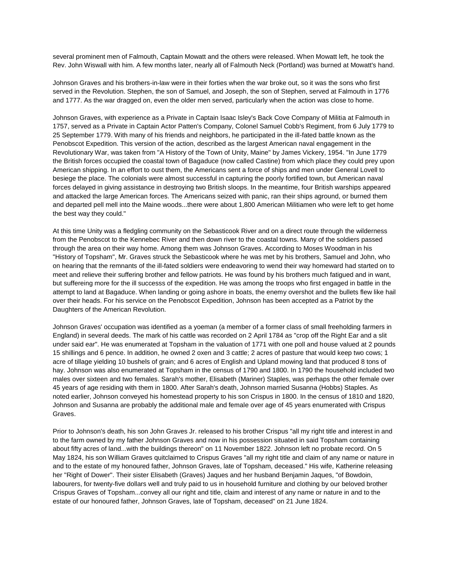several prominent men of Falmouth, Captain Mowatt and the others were released. When Mowatt left, he took the Rev. John Wiswall with him. A few months later, nearly all of Falmouth Neck (Portland) was burned at Mowatt's hand.

Johnson Graves and his brothers-in-law were in their forties when the war broke out, so it was the sons who first served in the Revolution. Stephen, the son of Samuel, and Joseph, the son of Stephen, served at Falmouth in 1776 and 1777. As the war dragged on, even the older men served, particularly when the action was close to home.

Johnson Graves, with experience as a Private in Captain Isaac Isley's Back Cove Company of Militia at Falmouth in 1757, served as a Private in Captain Actor Patten's Company, Colonel Samuel Cobb's Regiment, from 6 July 1779 to 25 September 1779. With many of his friends and neighbors, he participated in the ill-fated battle known as the Penobscot Expedition. This version of the action, described as the largest American naval engagement in the Revolutionary War, was taken from "A History of the Town of Unity, Maine" by James Vickery, 1954. "In June 1779 the British forces occupied the coastal town of Bagaduce (now called Castine) from which place they could prey upon American shipping. In an effort to oust them, the Americans sent a force of ships and men under General Lovell to besiege the place. The colonials were almost successful in capturing the poorly fortified town, but American naval forces delayed in giving assistance in destroying two British sloops. In the meantime, four British warships appeared and attacked the large American forces. The Americans seized with panic, ran their ships aground, or burned them and departed pell mell into the Maine woods...there were about 1,800 American Militiamen who were left to get home the best way they could."

At this time Unity was a fledgling community on the Sebasticook River and on a direct route through the wilderness from the Penobscot to the Kennebec River and then down river to the coastal towns. Many of the soldiers passed through the area on their way home. Among them was Johnson Graves. According to Moses Woodman in his "History of Topsham", Mr. Graves struck the Sebasticook where he was met by his brothers, Samuel and John, who on hearing that the remnants of the ill-fated soldiers were endeavoring to wend their way homeward had started on to meet and relieve their suffering brother and fellow patriots. He was found by his brothers much fatigued and in want, but suffereing more for the ill successs of the expedition. He was among the troops who first engaged in battle in the attempt to land at Bagaduce. When landing or going ashore in boats, the enemy overshot and the bullets flew like hail over their heads. For his service on the Penobscot Expedition, Johnson has been accepted as a Patriot by the Daughters of the American Revolution.

Johnson Graves' occupation was identified as a yoeman (a member of a former class of small freeholding farmers in England) in several deeds. The mark of his cattle was recorded on 2 April 1784 as "crop off the Right Ear and a slit under said ear". He was enumerated at Topsham in the valuation of 1771 with one poll and house valued at 2 pounds 15 shillings and 6 pence. In addition, he owned 2 oxen and 3 cattle; 2 acres of pasture that would keep two cows; 1 acre of tillage yielding 10 bushels of grain; and 6 acres of English and Upland mowing land that produced 8 tons of hay. Johnson was also enumerated at Topsham in the census of 1790 and 1800. In 1790 the household included two males over sixteen and two females. Sarah's mother, Elisabeth (Mariner) Staples, was perhaps the other female over 45 years of age residing with them in 1800. After Sarah's death, Johnson married Susanna (Hobbs) Staples. As noted earlier, Johnson conveyed his homestead property to his son Crispus in 1800. In the census of 1810 and 1820, Johnson and Susanna are probably the additional male and female over age of 45 years enumerated with Crispus Graves.

Prior to Johnson's death, his son John Graves Jr. released to his brother Crispus "all my right title and interest in and to the farm owned by my father Johnson Graves and now in his possession situated in said Topsham containing about fifty acres of land...with the buildings thereon" on 11 November 1822. Johnson left no probate record. On 5 May 1824, his son William Graves quitclaimed to Crispus Graves "all my right title and claim of any name or nature in and to the estate of my honoured father, Johnson Graves, late of Topsham, deceased." His wife, Katherine releasing her "Right of Dower". Their sister Elisabeth (Graves) Jaques and her husband Benjamin Jaques, "of Bowdoin, labourers, for twenty-five dollars well and truly paid to us in household furniture and clothing by our beloved brother Crispus Graves of Topsham...convey all our right and title, claim and interest of any name or nature in and to the estate of our honoured father, Johnson Graves, late of Topsham, deceased" on 21 June 1824.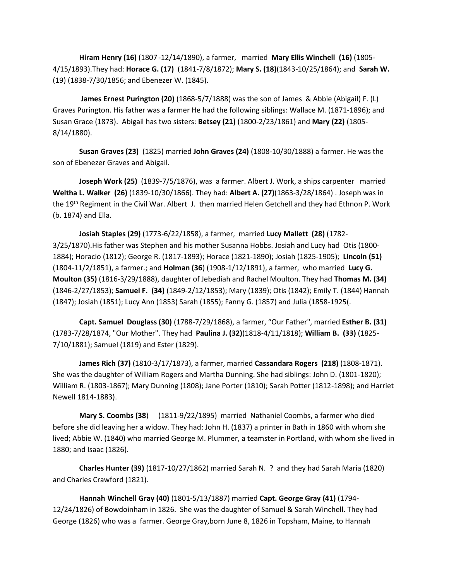**Hiram Henry (16)** (1807 -12/14/1890), a farmer, married **Mary Ellis Winchell (16)** (1805- 4/15/1893).They had: **Horace G. (17)** (1841-7/8/1872); **Mary S. (18)**(1843-10/25/1864); and **Sarah W.** (19) (1838-7/30/1856; and Ebenezer W. (1845).

**James Ernest Purington (20)** (1868-5/7/1888) was the son of James & Abbie (Abigail) F. (L) Graves Purington. His father was a farmer He had the following siblings: Wallace M. (1871-1896); and Susan Grace (1873). Abigail has two sisters: **Betsey (21)** (1800-2/23/1861) and **Mary (22)** (1805- 8/14/1880).

**Susan Graves (23)** (1825) married **John Graves (24)** (1808-10/30/1888) a farmer. He was the son of Ebenezer Graves and Abigail.

**Joseph Work (25)** (1839-7/5/1876), was a farmer. Albert J. Work, a ships carpenter married **Weltha L. Walker (26)** (1839-10/30/1866). They had: **Albert A. (27)**(1863-3/28/1864) . Joseph was in the 19<sup>th</sup> Regiment in the Civil War. Albert J. then married Helen Getchell and they had Ethnon P. Work (b. 1874) and Ella.

**Josiah Staples (29)** (1773-6/22/1858), a farmer, married **Lucy Mallett (28)** (1782- 3/25/1870).His father was Stephen and his mother Susanna Hobbs. Josiah and Lucy had Otis (1800- 1884); Horacio (1812); George R. (1817-1893); Horace (1821-1890); Josiah (1825-1905); **Lincoln (51)** (1804-11/2/1851), a farmer.; and **Holman (36**) (1908-1/12/1891), a farmer, who married **Lucy G. Moulton (35)** (1816-3/29/1888), daughter of Jebediah and Rachel Moulton. They had **Thomas M. (34)** (1846-2/27/1853); **Samuel F. (34)** (1849-2/12/1853); Mary (1839); Otis (1842); Emily T. (1844) Hannah (1847); Josiah (1851); Lucy Ann (1853) Sarah (1855); Fanny G. (1857) and Julia (1858-1925(.

**Capt. Samuel Douglass (30)** (1788-7/29/1868), a farmer, "Our Father", married **Esther B. (31)** (1783-7/28/1874, "Our Mother". They had **Paulina J. (32)**(1818-4/11/1818); **William B. (33)** (1825- 7/10/1881); Samuel (1819) and Ester (1829).

**James Rich (37)** (1810-3/17/1873), a farmer, married **Cassandara Rogers (218)** (1808-1871). She was the daughter of William Rogers and Martha Dunning. She had siblings: John D. (1801-1820); William R. (1803-1867); Mary Dunning (1808); Jane Porter (1810); Sarah Potter (1812-1898); and Harriet Newell 1814-1883).

**Mary S. Coombs (38**) (1811-9/22/1895) married Nathaniel Coombs, a farmer who died before she did leaving her a widow. They had: John H. (1837) a printer in Bath in 1860 with whom she lived; Abbie W. (1840) who married George M. Plummer, a teamster in Portland, with whom she lived in 1880; and Isaac (1826).

**Charles Hunter (39)** (1817-10/27/1862) married Sarah N. ? and they had Sarah Maria (1820) and Charles Crawford (1821).

**Hannah Winchell Gray (40)** (1801-5/13/1887) married **Capt. George Gray (41)** (1794- 12/24/1826) of Bowdoinham in 1826. She was the daughter of Samuel & Sarah Winchell. They had George (1826) who was a farmer. George Gray,born June 8, 1826 in Topsham, Maine, to Hannah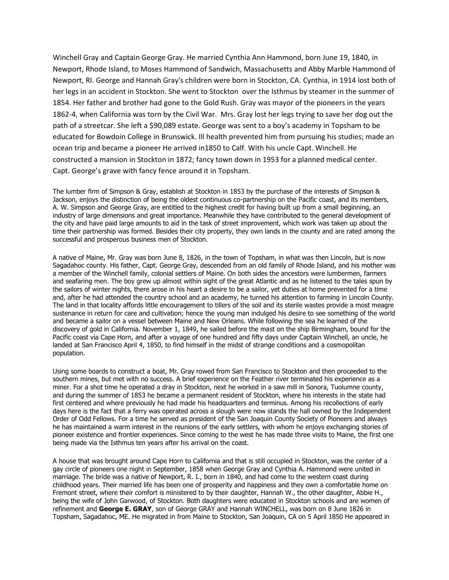Winchell Gray and Captain George Gray. He married Cynthia Ann Hammond, born June 19, 1840, in Newport, Rhode Island, to Moses Hammond of Sandwich, Massachusetts and Abby Marble Hammond of Newport, RI. George and Hannah Gray's children were born in Stockton, CA. Cynthia, in 1914 lost both of her legs in an accident in Stockton. She went to Stockton over the Isthmus by steamer in the summer of 1854. Her father and brother had gone to the Gold Rush. Gray was mayor of the pioneers in the years 1862-4, when California was torn by the Civil War. Mrs. Gray lost her legs trying to save her dog out the path of a streetcar. She left a \$90,089 estate. George was sent to a boy's academy in Topsham to be educated for Bowdoin College in Brunswick. Ill health prevented him from pursuing his studies; made an ocean trip and became a pioneer He arrived in1850 to Calf. With his uncle Capt. Winchell. He constructed a mansion in Stockton in 1872; fancy town down in 1953 for a planned medical center. Capt. George's grave with fancy fence around it in Topsham.

The lumber firm of Simpson & Gray, establish at Stockton in 1853 by the purchase of the interests of Simpson & Jackson, enjoys the distinction of being the oldest continuous co-partnership on the Pacific coast, and its members, A. W. Simpson and George Gray, are entitled to the highest credit for having built up from a small beginning, an industry of large dimensions and great importance. Meanwhile they have contributed to the general development of the city and have paid large amounts to aid in the task of street improvement, which work was taken up about the time their partnership was formed. Besides their city property, they own lands in the county and are rated among the successful and prosperous business men of Stockton.

A native of Maine, Mr. Gray was born June 8, 1826, in the town of Topsham, in what was then Lincoln, but is now Sagadahoc county. His father, Capt. George Gray, descended from an old family of Rhode Island, and his mother was a member of the Winchell family, colonial settlers of Maine. On both sides the ancestors were lumbermen, farmers and seafaring men. The boy grew up almost within sight of the great Atlantic and as he listened to the tales spun by the sailors of winter nights, there arose in his heart a desire to be a sailor, yet duties at home prevented for a time and, after he had attended the country school and an academy, he turned his attention to farming in Lincoln County. The land in that locality affords little encouragement to tillers of the soil and its sterile wastes provide a most meagre sustenance in return for care and cultivation; hence the young man indulged his desire to see something of the world and became a sailor on a vessel between Maine and New Orleans. While following the sea he learned of the discovery of gold in California. November 1, 1849, he sailed before the mast on the ship Birmingham, bound for the Pacific coast via Cape Horn, and after a voyage of one hundred and fifty days under Captain Winchell, an uncle, he landed at San Francisco April 4, 1850, to find himself in the midst of strange conditions and a cosmopolitan population.

Using some boards to construct a boat, Mr. Gray rowed from San Francisco to Stockton and then proceeded to the southern mines, but met with no success. A brief experience on the Feather river terminated his experience as a miner. For a shot time he operated a dray in Stockton, next he worked in a saw mill in Sonora, Tuolumne county, and during the summer of 1853 he became a permanent resident of Stockton, where his interests in the state had first centered and where previously he had made his headquarters and terminus. Among his recollections of early days here is the fact that a ferry was operated across a slough were now stands the hall owned by the Independent Order of Odd Fellows. For a time he served as president of the San Joaquin County Society of Pioneers and always he has maintained a warm interest in the reunions of the early settlers, with whom he enjoys exchanging stories of pioneer existence and frontier experiences. Since coming to the west he has made three visits to Maine, the first one being made via the Isthmus ten years after his arrival on the coast.

A house that was brought around Cape Horn to California and that is still occupied in Stockton, was the center of a gay circle of pioneers one night in September, 1858 when George Gray and Cynthia A. Hammond were united in marriage. The bride was a native of Newport, R. I., born in 1840, and had come to the western coast during childhood years. Their married life has been one of prosperity and happiness and they own a comfortable home on Fremont street, where their comfort is ministered to by their daughter, Hannah W., the other daughter, Abbie H., being the wife of John Garwood, of Stockton. Both daughters were educated in Stockton schools and are women of refinement and **George E. GRAY**, son of George GRAY and Hannah WINCHELL, was born on 8 June 1826 in Topsham, Sagadahoc, ME. He migrated in from Maine to Stockton, San Joaquin, CA on 5 April 1850 He appeared in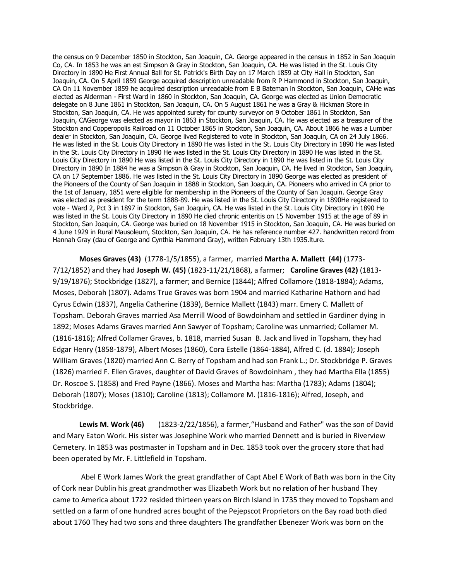the census on 9 December 1850 in Stockton, San Joaquin, CA. George appeared in the census in 1852 in San Joaquin Co, CA. In 1853 he was an est Simpson & Gray in Stockton, San Joaquin, CA. He was listed in the St. Louis City Directory in 1890 He First Annual Ball for St. Patrick's Birth Day on 17 March 1859 at City Hall in Stockton, San Joaquin, CA. On 5 April 1859 George acquired description unreadable from R P Hammond in Stockton, San Joaquin, CA On 11 November 1859 he acquired description unreadable from E B Bateman in Stockton, San Joaquin, CAHe was elected as Alderman - First Ward in 1860 in Stockton, San Joaquin, CA. George was elected as Union Democratic delegate on 8 June 1861 in Stockton, San Joaquin, CA. On 5 August 1861 he was a Gray & Hickman Store in Stockton, San Joaquin, CA. He was appointed surety for county surveyor on 9 October 1861 in Stockton, San Joaquin, CAGeorge was elected as mayor in 1863 in Stockton, San Joaquin, CA. He was elected as a treasurer of the Stockton and Copperopolis Railroad on 11 October 1865 in Stockton, San Joaquin, CA. About 1866 he was a Lumber dealer in Stockton, San Joaquin, CA. George lived Registered to vote in Stockton, San Joaquin, CA on 24 July 1866. He was listed in the St. Louis City Directory in 1890 He was listed in the St. Louis City Directory in 1890 He was listed in the St. Louis City Directory in 1890 He was listed in the St. Louis City Directory in 1890 He was listed in the St. Louis City Directory in 1890 He was listed in the St. Louis City Directory in 1890 He was listed in the St. Louis City Directory in 1890 In 1884 he was a Simpson & Gray in Stockton, San Joaquin, CA. He lived in Stockton, San Joaquin, CA on 17 September 1886. He was listed in the St. Louis City Directory in 1890 George was elected as president of the Pioneers of the County of San Joaquin in 1888 in Stockton, San Joaquin, CA. Pioneers who arrived in CA prior to the 1st of January, 1851 were eligible for membership in the Pioneers of the County of San Joaquin. George Gray was elected as president for the term 1888-89. He was listed in the St. Louis City Directory in 1890He registered to vote - Ward 2, Pct 3 in 1897 in Stockton, San Joaquin, CA. He was listed in the St. Louis City Directory in 1890 He was listed in the St. Louis City Directory in 1890 He died chronic enteritis on 15 November 1915 at the age of 89 in Stockton, San Joaquin, CA. George was buried on 18 November 1915 in Stockton, San Joaquin, CA. He was buried on 4 June 1929 in Rural Mausoleum, Stockton, San Joaquin, CA. He has reference number 427. handwritten record from Hannah Gray (dau of George and Cynthia Hammond Gray), written February 13th 1935.lture.

**Moses Graves (43)** (1778-1/5/1855), a farmer, married **Martha A. Mallett (44)** (1773- 7/12/1852) and they had **Joseph W. (45)** (1823-11/21/1868), a farmer; **Caroline Graves (42)** (1813- 9/19/1876); Stockbridge (1827), a farmer; and Bernice (1844); Alfred Collamore (1818-1884); Adams, Moses, Deborah (1807). Adams True Graves was born 1904 and married Katharine Hathorn and had Cyrus Edwin (1837), Angelia Catherine (1839), Bernice Mallett (1843) marr. Emery C. Mallett of Topsham. Deborah Graves married Asa Merrill Wood of Bowdoinham and settled in Gardiner dying in 1892; Moses Adams Graves married Ann Sawyer of Topsham; Caroline was unmarried; Collamer M. (1816-1816); Alfred Collamer Graves, b. 1818, married Susan B. Jack and lived in Topsham, they had Edgar Henry (1858-1879), Albert Moses (1860), Cora Estelle (1864-1884), Alfred C. (d. 1884); Joseph William Graves (1820) married Ann C. Berry of Topsham and had son Frank L.; Dr. Stockbridge P. Graves (1826) married F. Ellen Graves, daughter of David Graves of Bowdoinham , they had Martha Ella (1855) Dr. Roscoe S. (1858) and Fred Payne (1866). Moses and Martha has: Martha (1783); Adams (1804); Deborah (1807); Moses (1810); Caroline (1813); Collamore M. (1816-1816); Alfred, Joseph, and Stockbridge.

**Lewis M. Work (46)** (1823-2/22/1856), a farmer,"Husband and Father" was the son of David and Mary Eaton Work. His sister was Josephine Work who married Dennett and is buried in Riverview Cemetery. In 1853 was postmaster in Topsham and in Dec. 1853 took over the grocery store that had been operated by Mr. F. Littlefield in Topsham.

Abel E Work James Work the great grandfather of Capt Abel E Work of Bath was born in the City of Cork near Dublin his great grandmother was Elizabeth Work but no relation of her husband They came to America about 1722 resided thirteen years on Birch Island in 1735 they moved to Topsham and settled on a farm of one hundred acres bought of the Pejepscot Proprietors on the Bay road both died about 1760 They had two sons and three daughters The grandfather Ebenezer Work was born on the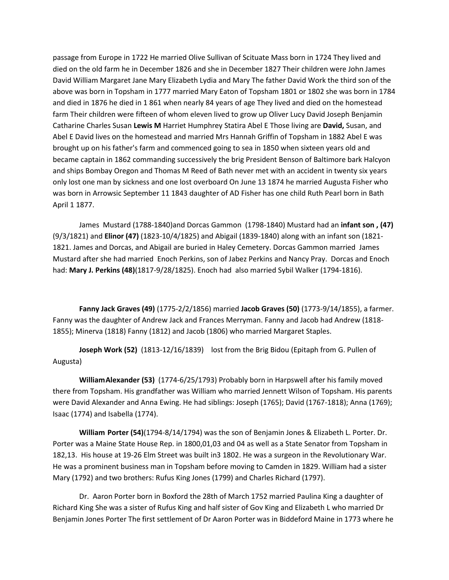passage from Europe in 1722 He married Olive Sullivan of Scituate Mass born in 1724 They lived and died on the old farm he in December 1826 and she in December 1827 Their children were John James David William Margaret Jane Mary Elizabeth Lydia and Mary The father David Work the third son of the above was born in Topsham in 1777 married Mary Eaton of Topsham 1801 or 1802 she was born in 1784 and died in 1876 he died in 1 861 when nearly 84 years of age They lived and died on the homestead farm Their children were fifteen of whom eleven lived to grow up Oliver Lucy David Joseph Benjamin Catharine Charles Susan **Lewis M** Harriet Humphrey Statira Abel E Those living are **David,** Susan, and Abel E David lives on the homestead and married Mrs Hannah Griffin of Topsham in 1882 Abel E was brought up on his father's farm and commenced going to sea in 1850 when sixteen years old and became captain in 1862 commanding successively the brig President Benson of Baltimore bark Halcyon and ships Bombay Oregon and Thomas M Reed of Bath never met with an accident in twenty six years only lost one man by sickness and one lost overboard On June 13 1874 he married Augusta Fisher who was born in Arrowsic September 11 1843 daughter of AD Fisher has one child Ruth Pearl born in Bath April 1 1877.

James Mustard (1788-1840)and Dorcas Gammon (1798-1840) Mustard had an **infant son , (47)** (9/3/1821) and **Elinor (47)** (1823-10/4/1825) and Abigail (1839-1840) along with an infant son (1821- 1821. James and Dorcas, and Abigail are buried in Haley Cemetery. Dorcas Gammon married James Mustard after she had married Enoch Perkins, son of Jabez Perkins and Nancy Pray. Dorcas and Enoch had: **Mary J. Perkins (48)**(1817-9/28/1825). Enoch had also married Sybil Walker (1794-1816).

**Fanny Jack Graves (49)** (1775-2/2/1856) married **Jacob Graves (50)** (1773-9/14/1855), a farmer. Fanny was the daughter of Andrew Jack and Frances Merryman. Fanny and Jacob had Andrew (1818- 1855); Minerva (1818) Fanny (1812) and Jacob (1806) who married Margaret Staples.

**Joseph Work (52)** (1813-12/16/1839) lost from the Brig Bidou (Epitaph from G. Pullen of Augusta)

**WilliamAlexander (53)** (1774-6/25/1793) Probably born in Harpswell after his family moved there from Topsham. His grandfather was William who married Jennett Wilson of Topsham. His parents were David Alexander and Anna Ewing. He had siblings: Joseph (1765); David (1767-1818); Anna (1769); Isaac (1774) and Isabella (1774).

**William Porter (54)**(1794-8/14/1794) was the son of Benjamin Jones & Elizabeth L. Porter. Dr. Porter was a Maine State House Rep. in 1800,01,03 and 04 as well as a State Senator from Topsham in 182,13. His house at 19-26 Elm Street was built in3 1802. He was a surgeon in the Revolutionary War. He was a prominent business man in Topsham before moving to Camden in 1829. William had a sister Mary (1792) and two brothers: Rufus King Jones (1799) and Charles Richard (1797).

Dr. Aaron Porter born in Boxford the 28th of March 1752 married Paulina King a daughter of Richard King She was a sister of Rufus King and half sister of Gov King and Elizabeth L who married Dr Benjamin Jones Porter The first settlement of Dr Aaron Porter was in Biddeford Maine in 1773 where he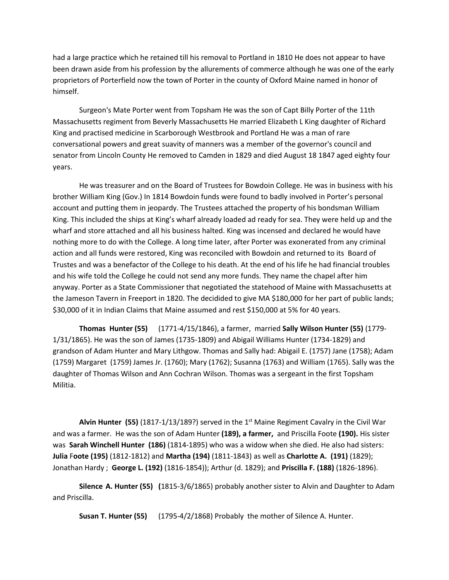had a large practice which he retained till his removal to Portland in 1810 He does not appear to have been drawn aside from his profession by the allurements of commerce although he was one of the early proprietors of Porterfield now the town of Porter in the county of Oxford Maine named in honor of himself.

Surgeon's Mate Porter went from Topsham He was the son of Capt Billy Porter of the 11th Massachusetts regiment from Beverly Massachusetts He married Elizabeth L King daughter of Richard King and practised medicine in Scarborough Westbrook and Portland He was a man of rare conversational powers and great suavity of manners was a member of the governor's council and senator from Lincoln County He removed to Camden in 1829 and died August 18 1847 aged eighty four years.

He was treasurer and on the Board of Trustees for Bowdoin College. He was in business with his brother William King (Gov.) In 1814 Bowdoin funds were found to badly involved in Porter's personal account and putting them in jeopardy. The Trustees attached the property of his bondsman William King. This included the ships at King's wharf already loaded ad ready for sea. They were held up and the wharf and store attached and all his business halted. King was incensed and declared he would have nothing more to do with the College. A long time later, after Porter was exonerated from any criminal action and all funds were restored, King was reconciled with Bowdoin and returned to its Board of Trustes and was a benefactor of the College to his death. At the end of his life he had financial troubles and his wife told the College he could not send any more funds. They name the chapel after him anyway. Porter as a State Commissioner that negotiated the statehood of Maine with Massachusetts at the Jameson Tavern in Freeport in 1820. The decidided to give MA \$180,000 for her part of public lands; \$30,000 of it in Indian Claims that Maine assumed and rest \$150,000 at 5% for 40 years.

**Thomas Hunter (55)** (1771-4/15/1846), a farmer, married **Sally Wilson Hunter (55)** (1779- 1/31/1865). He was the son of James (1735-1809) and Abigail Williams Hunter (1734-1829) and grandson of Adam Hunter and Mary Lithgow. Thomas and Sally had: Abigail E. (1757) Jane (1758); Adam (1759) Margaret (1759) James Jr. (1760); Mary (1762); Susanna (1763) and William (1765). Sally was the daughter of Thomas Wilson and Ann Cochran Wilson. Thomas was a sergeant in the first Topsham Militia.

**Alvin Hunter (55)** (1817-1/13/189?) served in the 1st Maine Regiment Cavalry in the Civil War and was a farmer. He was the son of Adam Hunter **(189), a farmer,** and Priscilla Foote **(190).** His sister was **Sarah Winchell Hunter (186)** (1814-1895) who was a widow when she died. He also had sisters: **Julia** F**oote (195)** (1812-1812) and **Martha (194)** (1811-1843) as well as **Charlotte A. (191)** (1829); Jonathan Hardy ; **George L. (192)** (1816-1854)); Arthur (d. 1829); and **Priscilla F. (188)** (1826-1896).

**Silence A. Hunter (55) (**1815-3/6/1865) probably another sister to Alvin and Daughter to Adam and Priscilla.

**Susan T. Hunter (55)** (1795-4/2/1868) Probably the mother of Silence A. Hunter.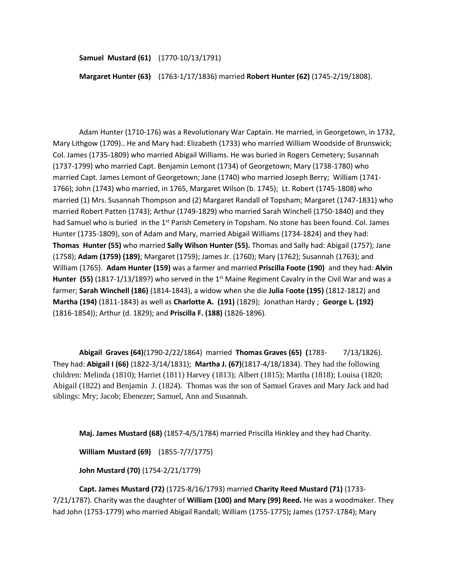**Samuel Mustard (61)** (1770-10/13/1791)

**Margaret Hunter (63)** (1763-1/17/1836) married **Robert Hunter (62)** (1745-2/19/1808).

Adam Hunter (1710-176) was a Revolutionary War Captain. He married, in Georgetown, in 1732, Mary Lithgow (1709).. He and Mary had: Elizabeth (1733) who married William Woodside of Brunswick; Col. James (1735-1809) who married Abigail Williams. He was buried in Rogers Cemetery; Susannah (1737-1799) who married Capt. Benjamin Lemont (1734) of Georgetown; Mary (1738-1780) who married Capt. James Lemont of Georgetown; Jane (1740) who married Joseph Berry; William (1741- 1766); John (1743) who married, in 1765, Margaret Wilson (b. 1745); Lt. Robert (1745-1808) who married (1) Mrs. Susannah Thompson and (2) Margaret Randall of Topsham; Margaret (1747-1831) who married Robert Patten (1743); Arthur (1749-1829) who married Sarah Winchell (1750-1840) and they had Samuel who is buried in the 1<sup>st</sup> Parish Cemetery in Topsham. No stone has been found. Col. James Hunter (1735-1809), son of Adam and Mary, married Abigail Williams (1734-1824) and they had: **Thomas Hunter (55)** who married **Sally Wilson Hunter (55).** Thomas and Sally had: Abigail (1757); Jane (1758); **Adam (1759) (189)**; Margaret (1759); James Jr. (1760); Mary (1762); Susannah (1763); and William (1765). **Adam Hunter (159)** was a farmer and married **Priscilla Foote (190)** and they had: **Alvin Hunter (55)** (1817-1/13/189?) who served in the 1<sup>st</sup> Maine Regiment Cavalry in the Civil War and was a farmer; **Sarah Winchell (186)** (1814-1843), a widow when she die **Julia** F**oote (195)** (1812-1812) and **Martha (194)** (1811-1843) as well as **Charlotte A. (191)** (1829); Jonathan Hardy ; **George L. (192)** (1816-1854)); Arthur (d. 1829); and **Priscilla F. (188)** (1826-1896).

**Abigail Graves (64)**(1790-2/22/1864) married **Thomas Graves (65) (**1783- 7/13/1826). They had: **Abigail I (66)** (1822-3/14/1831); **Martha J. (67)**(1817-4/18/1834). They had the following children: Melinda (1810); Harriet (1811) Harvey (1813); Albert (1815); Martha (1818); Louisa (1820; Abigail (1822) and Benjamin J. (1824). Thomas was the son of Samuel Graves and Mary Jack and had siblings: Mry; Jacob; Ebenezer; Samuel, Ann and Susannah.

**Maj. James Mustard (68)** (1857-4/5/1784) married Priscilla Hinkley and they had Charity.

**William Mustard (69)** (1855-7/7/1775)

**John Mustard (70)** (1754-2/21/1779)

**Capt. James Mustard (72)** (1725-8/16/1793) married **Charity Reed Mustard (71)** (1733- 7/21/1787). Charity was the daughter of **William (100) and Mary (99) Reed.** He was a woodmaker. They had John (1753-1779) who married Abigail Randall; William (1755-1775)**;** James (1757-1784); Mary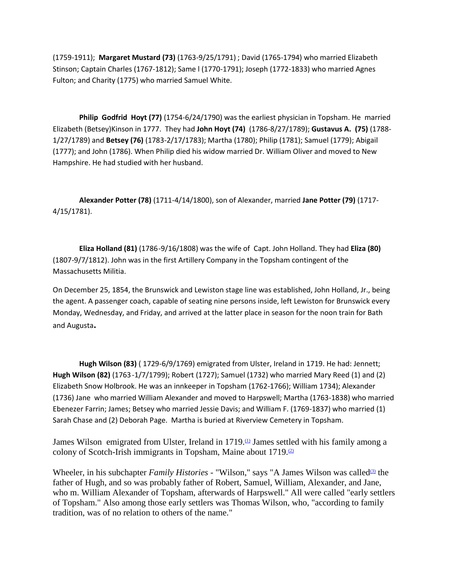(1759-1911); **Margaret Mustard (73)** (1763-9/25/1791) ; David (1765-1794) who married Elizabeth Stinson; Captain Charles (1767-1812); Same l (1770-1791); Joseph (1772-1833) who married Agnes Fulton; and Charity (1775) who married Samuel White.

**Philip Godfrid Hoyt (77)** (1754-6/24/1790) was the earliest physician in Topsham. He married Elizabeth (Betsey)Kinson in 1777. They had **John Hoyt (74)** (1786-8/27/1789); **Gustavus A. (75)** (1788- 1/27/1789) and **Betsey (76)** (1783-2/17/1783); Martha (1780); Philip (1781); Samuel (1779); Abigail (1777); and John (1786). When Philip died his widow married Dr. William Oliver and moved to New Hampshire. He had studied with her husband.

**Alexander Potter (78)** (1711-4/14/1800), son of Alexander, married **Jane Potter (79)** (1717- 4/15/1781).

**Eliza Holland (81)** (1786-9/16/1808) was the wife of Capt. John Holland. They had **Eliza (80)** (1807-9/7/1812). John was in the first Artillery Company in the Topsham contingent of the Massachusetts Militia.

On December 25, 1854, the Brunswick and Lewiston stage line was established, John Holland, Jr., being the agent. A passenger coach, capable of seating nine persons inside, left Lewiston for Brunswick every Monday, Wednesday, and Friday, and arrived at the latter place in season for the noon train for Bath and Augusta**.**

**Hugh Wilson (83)** ( 1729-6/9/1769) emigrated from Ulster, Ireland in 1719. He had: Jennett; **Hugh Wilson (82)** (1763-1/7/1799); Robert (1727); Samuel (1732) who married Mary Reed (1) and (2) Elizabeth Snow Holbrook. He was an innkeeper in Topsham (1762-1766); William 1734); Alexander (1736) Jane who married William Alexander and moved to Harpswell; Martha (1763-1838) who married Ebenezer Farrin; James; Betsey who married Jessie Davis; and William F. (1769-1837) who married (1) Sarah Chase and (2) Deborah Page. Martha is buried at Riverview Cemetery in Topsham.

James Wilson emigrated from Ulster, Ireland in  $1719<sup>th</sup>$  James settled with his family among a colony of Scotch-Irish immigrants in Topsham, Maine about  $1719.22$ 

Wheeler, in his subchapter *Family Histories* - "Wilson," says "A James Wilson was called<sup>[\(3\)](http://ralphinla.rootsweb.ancestry.com/wilsontm.htm#f3b)</sup> the father of Hugh, and so was probably father of Robert, Samuel, William, Alexander, and Jane, who m. William Alexander of Topsham, afterwards of Harpswell." All were called "early settlers of Topsham." Also among those early settlers was Thomas Wilson, who, "according to family tradition, was of no relation to others of the name."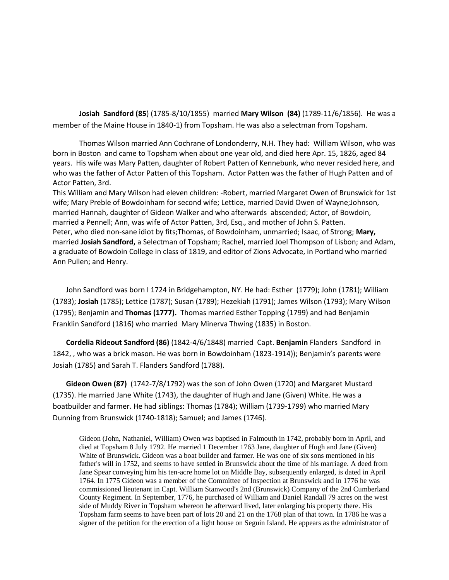**Josiah Sandford (85**) (1785-8/10/1855) married **Mary Wilson (84)** (1789-11/6/1856). He was a member of the Maine House in 1840-1) from Topsham. He was also a selectman from Topsham.

Thomas Wilson married Ann Cochrane of Londonderry, N.H. They had: William Wilson, who was born in Boston and came to Topsham when about one year old, and died here Apr. 15, 1826, aged 84 years. His wife was Mary Patten, daughter of Robert Patten of Kennebunk, who never resided here, and who was the father of Actor Patten of this Topsham. Actor Patten was the father of Hugh Patten and of Actor Patten, 3rd.

This William and Mary Wilson had eleven children: -Robert, married Margaret Owen of Brunswick for 1st wife; Mary Preble of Bowdoinham for second wife; Lettice, married David Owen of Wayne;Johnson, married Hannah, daughter of Gideon Walker and who afterwards abscended; Actor, of Bowdoin, married a Pennell; Ann, was wife of Actor Patten, 3rd, Esq., and mother of John S. Patten. Peter, who died non-sane idiot by fits;Thomas, of Bowdoinham, unmarried; Isaac, of Strong; **Mary,** married **Josiah Sandford,** a Selectman of Topsham; Rachel, married Joel Thompson of Lisbon; and Adam, a graduate of Bowdoin College in class of 1819, and editor of Zions Advocate, in Portland who married Ann Pullen; and Henry.

John Sandford was born I 1724 in Bridgehampton, NY. He had: Esther (1779); John (1781); William (1783); **Josiah** (1785); Lettice (1787); Susan (1789); Hezekiah (1791); James Wilson (1793); Mary Wilson (1795); Benjamin and **Thomas (1777).** Thomas married Esther Topping (1799) and had Benjamin Franklin Sandford (1816) who married Mary Minerva Thwing (1835) in Boston.

**Cordelia Rideout Sandford (86)** (1842-4/6/1848) married Capt. **Benjamin** Flanders Sandford in 1842, , who was a brick mason. He was born in Bowdoinham (1823-1914)); Benjamin's parents were Josiah (1785) and Sarah T. Flanders Sandford (1788).

**Gideon Owen (87)** (1742-7/8/1792) was the son of John Owen (1720) and Margaret Mustard (1735). He married Jane White (1743), the daughter of Hugh and Jane (Given) White. He was a boatbuilder and farmer. He had siblings: Thomas (1784); William (1739-1799) who married Mary Dunning from Brunswick (1740-1818); Samuel; and James (1746).

Gideon (John, Nathaniel, William) Owen was baptised in Falmouth in 1742, probably born in April, and died at Topsham 8 July 1792. He married 1 December 1763 Jane, daughter of Hugh and Jane (Given) White of Brunswick. Gideon was a boat builder and farmer. He was one of six sons mentioned in his father's will in 1752, and seems to have settled in Brunswick about the time of his marriage. A deed from Jane Spear conveying him his ten-acre home lot on Middle Bay, subsequently enlarged, is dated in April 1764. In 1775 Gideon was a member of the Committee of Inspection at Brunswick and in 1776 he was commissioned lieutenant in Capt. William Stanwood's 2nd (Brunswick) Company of the 2nd Cumberland County Regiment. In September, 1776, he purchased of William and Daniel Randall 79 acres on the west side of Muddy River in Topsham whereon he afterward lived, later enlarging his property there. His Topsham farm seems to have been part of lots 20 and 21 on the 1768 plan of that town. In 1786 he was a signer of the petition for the erection of a light house on Seguin Island. He appears as the administrator of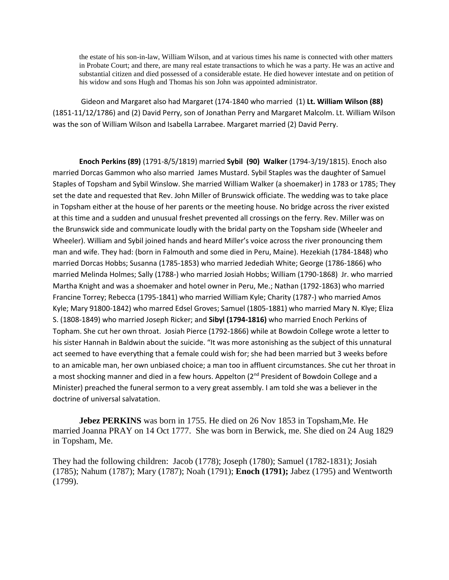the estate of his son-in-law, William Wilson, and at various times his name is connected with other matters in Probate Court; and there, are many real estate transactions to which he was a party. He was an active and substantial citizen and died possessed of a considerable estate. He died however intestate and on petition of his widow and sons Hugh and Thomas his son John was appointed administrator.

Gideon and Margaret also had Margaret (174-1840 who married (1) **Lt. William Wilson (88)** (1851-11/12/1786) and (2) David Perry, son of Jonathan Perry and Margaret Malcolm. Lt. William Wilson was the son of William Wilson and Isabella Larrabee. Margaret married (2) David Perry.

**Enoch Perkins (89)** (1791-8/5/1819) married **Sybil (90) Walker** (1794-3/19/1815). Enoch also married Dorcas Gammon who also married James Mustard. Sybil Staples was the daughter of Samuel Staples of Topsham and Sybil Winslow. She married William Walker (a shoemaker) in 1783 or 1785; They set the date and requested that Rev. John Miller of Brunswick officiate. The wedding was to take place in Topsham either at the house of her parents or the meeting house. No bridge across the river existed at this time and a sudden and unusual freshet prevented all crossings on the ferry. Rev. Miller was on the Brunswick side and communicate loudly with the bridal party on the Topsham side (Wheeler and Wheeler). William and Sybil joined hands and heard Miller's voice across the river pronouncing them man and wife. They had: (born in Falmouth and some died in Peru, Maine). Hezekiah (1784-1848) who married Dorcas Hobbs; Susanna (1785-1853) who married Jedediah White; George (1786-1866) who married Melinda Holmes; Sally (1788-) who married Josiah Hobbs; William (1790-1868) Jr. who married Martha Knight and was a shoemaker and hotel owner in Peru, Me.; Nathan (1792-1863) who married Francine Torrey; Rebecca (1795-1841) who married William Kyle; Charity (1787-) who married Amos Kyle; Mary 91800-1842) who marred Edsel Groves; Samuel (1805-1881) who married Mary N. Klye; Eliza S. (1808-1849) who married Joseph Ricker; and **Sibyl (1794-1816)** who married Enoch Perkins of Topham. She cut her own throat. Josiah Pierce (1792-1866) while at Bowdoin College wrote a letter to his sister Hannah in Baldwin about the suicide. "It was more astonishing as the subject of this unnatural act seemed to have everything that a female could wish for; she had been married but 3 weeks before to an amicable man, her own unbiased choice; a man too in affluent circumstances. She cut her throat in a most shocking manner and died in a few hours. Appelton  $(2^{nd}$  President of Bowdoin College and a Minister) preached the funeral sermon to a very great assembly. I am told she was a believer in the doctrine of universal salvatation.

**Jebez PERKINS** was born in 1755. He died on 26 Nov 1853 in Topsham,Me. He married Joanna PRAY on 14 Oct 1777. She was born in Berwick, me. She died on 24 Aug 1829 in Topsham, Me.

They had the following children: Jacob (1778); Joseph (1780); Samuel (1782-1831); Josiah (1785); Nahum (1787); Mary (1787); Noah (1791); **Enoch (1791);** Jabez (1795) and Wentworth (1799).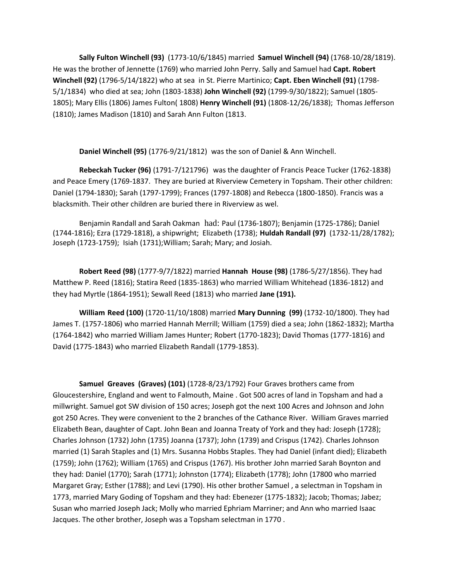**Sally Fulton Winchell (93)** (1773-10/6/1845) married **Samuel Winchell (94)** (1768-10/28/1819). He was the brother of Jennette (1769) who married John Perry. Sally and Samuel had **Capt. Robert Winchell (92)** (1796-5/14/1822) who at sea in St. Pierre Martinico; **Capt. Eben Winchell (91)** (1798- 5/1/1834) who died at sea; John (1803-1838) **John Winchell (92)** (1799-9/30/1822); Samuel (1805- 1805); Mary Ellis (1806) James Fulton( 1808) **Henry Winchell (91)** (1808-12/26/1838); Thomas Jefferson (1810); James Madison (1810) and Sarah Ann Fulton (1813.

**Daniel Winchell (95)** (1776-9/21/1812) was the son of Daniel & Ann Winchell.

**Rebeckah Tucker (96)** (1791-7/121796) was the daughter of Francis Peace Tucker (1762-1838) and Peace Emery (1769-1837. They are buried at Riverview Cemetery in Topsham. Their other children: Daniel (1794-1830); Sarah (1797-1799); Frances (1797-1808) and Rebecca (1800-1850). Francis was a blacksmith. Their other children are buried there in Riverview as wel.

Benjamin Randall and Sarah Oakman had: Paul (1736-1807); Benjamin (1725-1786); Daniel (1744-1816); Ezra (1729-1818), a shipwright; Elizabeth (1738); **Huldah Randall (97)** (1732-11/28/1782); Joseph (1723-1759); Isiah (1731);William; Sarah; Mary; and Josiah.

**Robert Reed (98)** (1777-9/7/1822) married **Hannah House (98)** (1786-5/27/1856). They had Matthew P. Reed (1816); Statira Reed (1835-1863) who married William Whitehead (1836-1812) and they had Myrtle (1864-1951); Sewall Reed (1813) who married **Jane (191).**

**William Reed (100)** (1720-11/10/1808) married **Mary Dunning (99)** (1732-10/1800). They had James T. (1757-1806) who married Hannah Merrill; William (1759) died a sea; John (1862-1832); Martha (1764-1842) who married William James Hunter; Robert (1770-1823); David Thomas (1777-1816) and David (1775-1843) who married Elizabeth Randall (1779-1853).

**Samuel Greaves (Graves) (101)** (1728-8/23/1792) Four Graves brothers came from Gloucestershire, England and went to Falmouth, Maine . Got 500 acres of land in Topsham and had a millwright. Samuel got SW division of 150 acres; Joseph got the next 100 Acres and Johnson and John got 250 Acres. They were convenient to the 2 branches of the Cathance River. William Graves married Elizabeth Bean, daughter of Capt. John Bean and Joanna Treaty of York and they had: Joseph (1728); Charles Johnson (1732) John (1735) Joanna (1737); John (1739) and Crispus (1742). Charles Johnson married (1) Sarah Staples and (1) Mrs. Susanna Hobbs Staples. They had Daniel (infant died); Elizabeth (1759); John (1762); William (1765) and Crispus (1767). His brother John married Sarah Boynton and they had: Daniel (1770); Sarah (1771); Johnston (1774); Elizabeth (1778); John (17800 who married Margaret Gray; Esther (1788); and Levi (1790). His other brother Samuel , a selectman in Topsham in 1773, married Mary Goding of Topsham and they had: Ebenezer (1775-1832); Jacob; Thomas; Jabez; Susan who married Joseph Jack; Molly who married Ephriam Marriner; and Ann who married Isaac Jacques. The other brother, Joseph was a Topsham selectman in 1770 .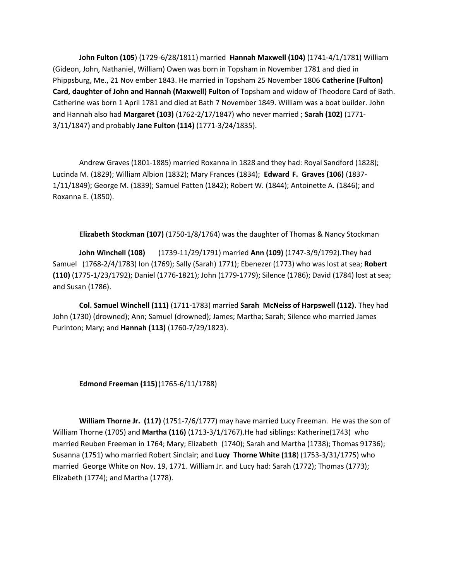**John Fulton (105**) (1729-6/28/1811) married **Hannah Maxwell (104)** (1741-4/1/1781) William (Gideon, John, Nathaniel, William) Owen was born in Topsham in November 1781 and died in Phippsburg, Me., 21 Nov ember 1843. He married in Topsham 25 November 1806 **Catherine (Fulton) Card, daughter of John and Hannah (Maxwell) Fulton** of Topsham and widow of Theodore Card of Bath. Catherine was born 1 April 1781 and died at Bath 7 November 1849. William was a boat builder. John and Hannah also had **Margaret (103)** (1762-2/17/1847) who never married ; **Sarah (102)** (1771- 3/11/1847) and probably **Jane Fulton (114)** (1771-3/24/1835).

Andrew Graves (1801-1885) married Roxanna in 1828 and they had: Royal Sandford (1828); Lucinda M. (1829); William Albion (1832); Mary Frances (1834); **Edward F. Graves (106)** (1837- 1/11/1849); George M. (1839); Samuel Patten (1842); Robert W. (1844); Antoinette A. (1846); and Roxanna E. (1850).

**Elizabeth Stockman (107)** (1750-1/8/1764) was the daughter of Thomas & Nancy Stockman

**John Winchell (108)** (1739-11/29/1791) married **Ann (109)** (1747-3/9/1792).They had Samuel (1768-2/4/1783) Ion (1769); Sally (Sarah) 1771); Ebenezer (1773) who was lost at sea; **Robert (110)** (1775-1/23/1792); Daniel (1776-1821); John (1779-1779); Silence (1786); David (1784) lost at sea; and Susan (1786).

**Col. Samuel Winchell (111)** (1711-1783) married **Sarah McNeiss of Harpswell (112).** They had John (1730) (drowned); Ann; Samuel (drowned); James; Martha; Sarah; Silence who married James Purinton; Mary; and **Hannah (113)** (1760-7/29/1823).

**Edmond Freeman (115)**(1765-6/11/1788)

**William Thorne Jr. (117)** (1751-7/6/1777) may have married Lucy Freeman. He was the son of William Thorne (1705) and **Martha (116)** (1713-3/1/1767).He had siblings: Katherine(1743) who married Reuben Freeman in 1764; Mary; Elizabeth (1740); Sarah and Martha (1738); Thomas 91736); Susanna (1751) who married Robert Sinclair; and **Lucy Thorne White (118**) (1753-3/31/1775) who married George White on Nov. 19, 1771. William Jr. and Lucy had: Sarah (1772); Thomas (1773); Elizabeth (1774); and Martha (1778).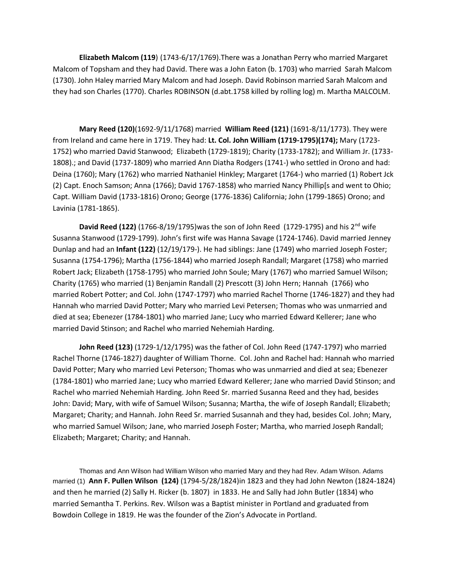**Elizabeth Malcom (119**) (1743-6/17/1769).There was a Jonathan Perry who married Margaret Malcom of Topsham and they had David. There was a John Eaton (b. 1703) who married Sarah Malcom (1730). John Haley married Mary Malcom and had Joseph. David Robinson married Sarah Malcom and they had son Charles (1770). Charles ROBINSON (d.abt.1758 killed by rolling log) m. Martha MALCOLM.

**Mary Reed (120)**(1692-9/11/1768) married **William Reed (121)** (1691-8/11/1773). They were from Ireland and came here in 1719. They had: **Lt. Col. John William (1719-1795)(174);** Mary (1723- 1752) who married David Stanwood; Elizabeth (1729-1819); Charity (1733-1782); and William Jr. (1733- 1808).; and David (1737-1809) who married Ann Diatha Rodgers (1741-) who settled in Orono and had: Deina (1760); Mary (1762) who married Nathaniel Hinkley; Margaret (1764-) who married (1) Robert Jck (2) Capt. Enoch Samson; Anna (1766); David 1767-1858) who married Nancy Phillip[s and went to Ohio; Capt. William David (1733-1816) Orono; George (1776-1836) California; John (1799-1865) Orono; and Lavinia (1781-1865).

**David Reed (122)** (1766-8/19/1795)was the son of John Reed (1729-1795) and his 2<sup>nd</sup> wife Susanna Stanwood (1729-1799). John's first wife was Hanna Savage (1724-1746). David married Jenney Dunlap and had an **Infant (122)** (12/19/179-). He had siblings: Jane (1749) who married Joseph Foster; Susanna (1754-1796); Martha (1756-1844) who married Joseph Randall; Margaret (1758) who married Robert Jack; Elizabeth (1758-1795) who married John Soule; Mary (1767) who married Samuel Wilson; Charity (1765) who married (1) Benjamin Randall (2) Prescott (3) John Hern; Hannah (1766) who married Robert Potter; and Col. John (1747-1797) who married Rachel Thorne (1746-1827) and they had Hannah who married David Potter; Mary who married Levi Petersen; Thomas who was unmarried and died at sea; Ebenezer (1784-1801) who married Jane; Lucy who married Edward Kellerer; Jane who married David Stinson; and Rachel who married Nehemiah Harding.

**John Reed (123)** (1729-1/12/1795) was the father of Col. John Reed (1747-1797) who married Rachel Thorne (1746-1827) daughter of William Thorne. Col. John and Rachel had: Hannah who married David Potter; Mary who married Levi Peterson; Thomas who was unmarried and died at sea; Ebenezer (1784-1801) who married Jane; Lucy who married Edward Kellerer; Jane who married David Stinson; and Rachel who married Nehemiah Harding. John Reed Sr. married Susanna Reed and they had, besides John: David; Mary, with wife of Samuel Wilson; Susanna; Martha, the wife of Joseph Randall; Elizabeth; Margaret; Charity; and Hannah. John Reed Sr. married Susannah and they had, besides Col. John; Mary, who married Samuel Wilson; Jane, who married Joseph Foster; Martha, who married Joseph Randall; Elizabeth; Margaret; Charity; and Hannah.

Thomas and Ann Wilson had William Wilson who married Mary and they had Rev. Adam Wilson. Adams married (1) **Ann F. Pullen Wilson (124)** (1794-5/28/1824)in 1823 and they had John Newton (1824-1824) and then he married (2) Sally H. Ricker (b. 1807) in 1833. He and Sally had John Butler (1834) who married Semantha T. Perkins. Rev. Wilson was a Baptist minister in Portland and graduated from Bowdoin College in 1819. He was the founder of the Zion's Advocate in Portland.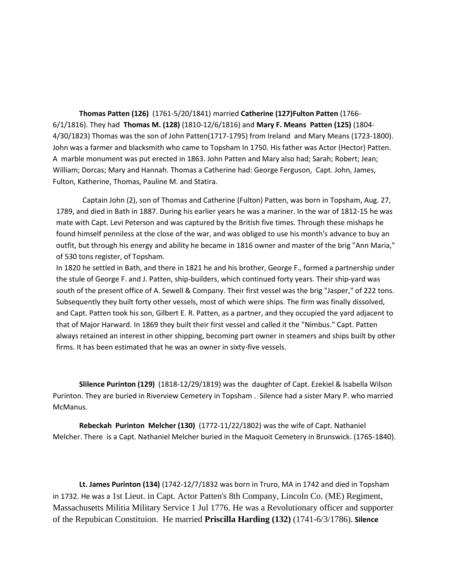**Thomas Patten (126)** (1761-5/20/1841) married **Catherine (127)Fulton Patten** (1766- 6/1/1816). They had **Thomas M. (128)** (1810-12/6/1816) and **Mary F. Means Patten (125)** (1804- 4/30/1823) Thomas was the son of John Patten(1717-1795) from Ireland and Mary Means (1723-1800). John was a farmer and blacksmith who came to Topsham In 1750. His father was Actor (Hector) Patten. A marble monument was put erected in 1863. John Patten and Mary also had; Sarah; Robert; Jean; William; Dorcas; Mary and Hannah. Thomas a Catherine had: George Ferguson, Capt. John, James, Fulton, Katherine, Thomas, Pauline M. and Statira.

Captain John (2), son of Thomas and Catherine (Fulton) Patten, was born in Topsham, Aug. 27, 1789, and died in Bath in 1887. During his earlier years he was a mariner. In the war of 1812-15 he was mate with Capt. Levi Peterson and was captured by the British five times. Through these mishaps he found himself penniless at the close of the war, and was obliged to use his month's advance to buy an outfit, but through his energy and ability he became in 1816 owner and master of the brig "Ann Maria," of 530 tons register, of Topsham.

In 1820 he settled in Bath, and there in 1821 he and his brother, George F., formed a partnership under the stule of George F. and J. Patten, ship-builders, which continued forty years. Their ship-yard was south of the present office of A. Sewell & Company. Their first vessel was the brig "Jasper," of 222 tons. Subsequently they built forty other vessels, most of which were ships. The firm was finally dissolved, and Capt. Patten took his son, Gilbert E. R. Patten, as a partner, and they occupied the yard adjacent to that of Major Harward. In 1869 they built their first vessel and called it the "Nimbus." Capt. Patten always retained an interest in other shipping, becoming part owner in steamers and ships built by other firms. It has been estimated that he was an owner in sixty-five vessels.

**Slilence Purinton (129)** (1818-12/29/1819) was the daughter of Capt. Ezekiel & Isabella Wilson Purinton. They are buried in Riverview Cemetery in Topsham . Silence had a sister Mary P. who married McManus.

**Rebeckah Purinton Melcher (130)** (1772-11/22/1802) was the wife of Capt. Nathaniel Melcher. There is a Capt. Nathaniel Melcher buried in the Maquoit Cemetery in Brunswick. (1765-1840).

**Lt. James Purinton (134)** (1742-12/7/1832 was born in Truro, MA in 1742 and died in Topsham in 1732. He was a 1st Lieut. in Capt. Actor Patten's 8th Company, Lincoln Co. (ME) Regiment, Massachusetts Militia Military Service 1 Jul 1776. He was a Revolutionary officer and supporter of the Repubican Constituion. He married **Priscilla Harding (132)** (1741-6/3/1786). **Silence**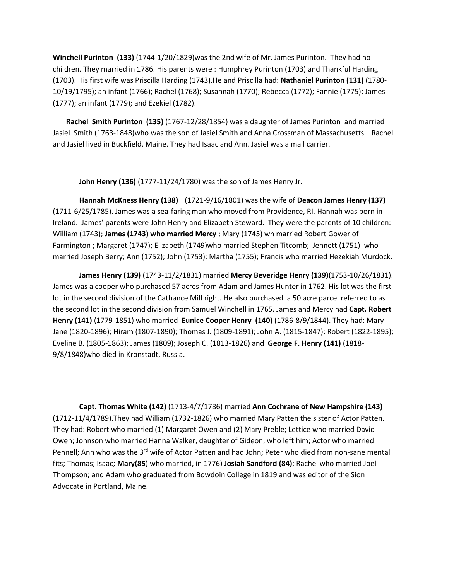**Winchell Purinton (133)** (1744-1/20/1829)was the 2nd wife of Mr. James Purinton. They had no children. They married in 1786. His parents were : Humphrey Purinton (1703) and Thankful Harding (1703). His first wife was Priscilla Harding (1743).He and Priscilla had: **Nathaniel Purinton (131)** (1780- 10/19/1795); an infant (1766); Rachel (1768); Susannah (1770); Rebecca (1772); Fannie (1775); James (1777); an infant (1779); and Ezekiel (1782).

**Rachel Smith Purinton (135)** (1767-12/28/1854) was a daughter of James Purinton and married Jasiel Smith (1763-1848)who was the son of Jasiel Smith and Anna Crossman of Massachusetts. Rachel and Jasiel lived in Buckfield, Maine. They had Isaac and Ann. Jasiel was a mail carrier.

**John Henry (136)** (1777-11/24/1780) was the son of James Henry Jr.

**Hannah McKness Henry (138)** (1721-9/16/1801) was the wife of **Deacon James Henry (137)** (1711-6/25/1785). James was a sea-faring man who moved from Providence, RI. Hannah was born in Ireland. James' parents were John Henry and Elizabeth Steward. They were the parents of 10 children: William (1743); **James (1743) who married Mercy** ; Mary (1745) wh married Robert Gower of Farmington ; Margaret (1747); Elizabeth (1749)who married Stephen Titcomb; Jennett (1751) who married Joseph Berry; Ann (1752); John (1753); Martha (1755); Francis who married Hezekiah Murdock.

**James Henry (139)** (1743-11/2/1831) married **Mercy Beveridge Henry (139)**(1753-10/26/1831). James was a cooper who purchased 57 acres from Adam and James Hunter in 1762. His lot was the first lot in the second division of the Cathance Mill right. He also purchased a 50 acre parcel referred to as the second lot in the second division from Samuel Winchell in 1765. James and Mercy had **Capt. Robert Henry (141)** (1779-1851) who married **Eunice Cooper Henry (140)** (1786-8/9/1844). They had: Mary Jane (1820-1896); Hiram (1807-1890); Thomas J. (1809-1891); John A. (1815-1847); Robert (1822-1895); Eveline B. (1805-1863); James (1809); Joseph C. (1813-1826) and **George F. Henry (141)** (1818- 9/8/1848)who died in Kronstadt, Russia.

**Capt. Thomas White (142)** (1713-4/7/1786) married **Ann Cochrane of New Hampshire (143)** (1712-11/4/1789).They had William (1732-1826) who married Mary Patten the sister of Actor Patten. They had: Robert who married (1) Margaret Owen and (2) Mary Preble; Lettice who married David Owen; Johnson who married Hanna Walker, daughter of Gideon, who left him; Actor who married Pennell; Ann who was the 3<sup>rd</sup> wife of Actor Patten and had John; Peter who died from non-sane mental fits; Thomas; Isaac; **Mary(85**) who married, in 1776) **Josiah Sandford (84)**; Rachel who married Joel Thompson; and Adam who graduated from Bowdoin College in 1819 and was editor of the Sion Advocate in Portland, Maine.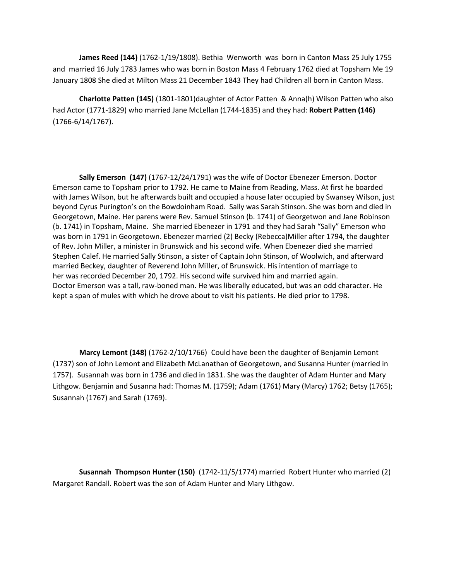**James Reed (144)** (1762-1/19/1808). Bethia Wenworth was born in Canton Mass 25 July 1755 and married 16 July 1783 James who was born in Boston Mass 4 February 1762 died at Topsham Me 19 January 1808 She died at Milton Mass 21 December 1843 They had Children all born in Canton Mass.

**Charlotte Patten (145)** (1801-1801)daughter of Actor Patten & Anna(h) Wilson Patten who also had Actor (1771-1829) who married Jane McLellan (1744-1835) and they had: **Robert Patten (146)** (1766-6/14/1767).

**Sally Emerson (147)** (1767-12/24/1791) was the wife of Doctor Ebenezer Emerson. Doctor Emerson came to Topsham prior to 1792. He came to Maine from Reading, Mass. At first he boarded with James Wilson, but he afterwards built and occupied a house later occupied by Swansey Wilson, just beyond Cyrus Purington's on the Bowdoinham Road. Sally was Sarah Stinson. She was born and died in Georgetown, Maine. Her parens were Rev. Samuel Stinson (b. 1741) of Georgetwon and Jane Robinson (b. 1741) in Topsham, Maine. She married Ebenezer in 1791 and they had Sarah "Sally" Emerson who was born in 1791 in Georgetown. Ebenezer married (2) Becky (Rebecca)Miller after 1794, the daughter of Rev. John Miller, a minister in Brunswick and his second wife. When Ebenezer died she married Stephen Calef. He married Sally Stinson, a sister of Captain John Stinson, of Woolwich, and afterward married Beckey, daughter of Reverend John Miller, of Brunswick. His intention of marriage to her was recorded December 20, 1792. His second wife survived him and married again. Doctor Emerson was a tall, raw-boned man. He was liberally educated, but was an odd character. He kept a span of mules with which he drove about to visit his patients. He died prior to 1798.

**Marcy Lemont (148)** (1762-2/10/1766) Could have been the daughter of Benjamin Lemont (1737) son of John Lemont and Elizabeth McLanathan of Georgetown, and Susanna Hunter (married in 1757). Susannah was born in 1736 and died in 1831. She was the daughter of Adam Hunter and Mary Lithgow. Benjamin and Susanna had: Thomas M. (1759); Adam (1761) Mary (Marcy) 1762; Betsy (1765); Susannah (1767) and Sarah (1769).

**Susannah Thompson Hunter (150)** (1742-11/5/1774) married Robert Hunter who married (2) Margaret Randall. Robert was the son of Adam Hunter and Mary Lithgow.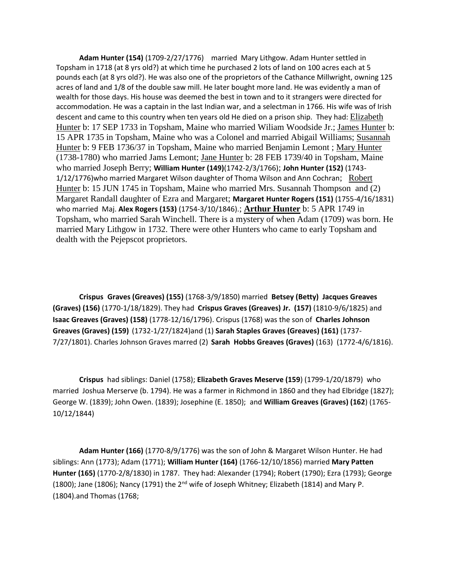**Adam Hunter (154)** (1709-2/27/1776) married Mary Lithgow. Adam Hunter settled in Topsham in 1718 (at 8 yrs old?) at which time he purchased 2 lots of land on 100 acres each at 5 pounds each (at 8 yrs old?). He was also one of the proprietors of the Cathance Millwright, owning 125 acres of land and 1/8 of the double saw mill. He later bought more land. He was evidently a man of wealth for those days. His house was deemed the best in town and to it strangers were directed for accommodation. He was a captain in the last Indian war, and a selectman in 1766. His wife was of Irish descent and came to this country when ten years old He died on a prison ship. They had: [Elizabeth](http://wc.rootsweb.ancestry.com/cgi-bin/igm.cgi?op=GET&db=zyg&id=I3646)  [Hunter](http://wc.rootsweb.ancestry.com/cgi-bin/igm.cgi?op=GET&db=zyg&id=I3646) b: 17 SEP 1733 in Topsham, Maine who married Wiliam Woodside Jr.; [James Hunter](http://wc.rootsweb.ancestry.com/cgi-bin/igm.cgi?op=GET&db=zyg&id=I3644) b: 15 APR 1735 in Topsham, Maine who was a Colonel and married Abigail Williams; [Susannah](http://wc.rootsweb.ancestry.com/cgi-bin/igm.cgi?op=GET&db=zyg&id=I3580)  [Hunter](http://wc.rootsweb.ancestry.com/cgi-bin/igm.cgi?op=GET&db=zyg&id=I3580) b: 9 FEB 1736/37 in Topsham, Maine who married Benjamin Lemont ; [Mary Hunter](http://wc.rootsweb.ancestry.com/cgi-bin/igm.cgi?op=GET&db=zyg&id=I3647) (1738-1780) who married Jams Lemont; [Jane Hunter](http://wc.rootsweb.ancestry.com/cgi-bin/igm.cgi?op=GET&db=zyg&id=I3651) b: 28 FEB 1739/40 in Topsham, Maine who married Joseph Berry; **William Hunter (149)**(1742-2/3/1766); **John Hunter (152)** (1743- 1/12/1776)who married Margaret Wilson daughter of Thoma Wilson and Ann Cochran; [Robert](http://wc.rootsweb.ancestry.com/cgi-bin/igm.cgi?op=GET&db=zyg&id=I3645)  [Hunter](http://wc.rootsweb.ancestry.com/cgi-bin/igm.cgi?op=GET&db=zyg&id=I3645) b: 15 JUN 1745 in Topsham, Maine who married Mrs. Susannah Thompson and (2) Margaret Randall daughter of Ezra and Margaret; **Margaret Hunter Rogers (151)** (1755-4/16/1831) who married Maj. **Alex Rogers (153)** (1754-3/10/1846).; **[Arthur Hunter](http://wc.rootsweb.ancestry.com/cgi-bin/igm.cgi?op=GET&db=zyg&id=I3649)** b: 5 APR 1749 in Topsham, who married Sarah Winchell. There is a mystery of when Adam (1709) was born. He married Mary Lithgow in 1732. There were other Hunters who came to early Topsham and dealth with the Pejepscot proprietors.

**Crispus Graves (Greaves) (155)** (1768-3/9/1850) married **Betsey (Betty) Jacques Greaves (Graves) (156)** (1770-1/18/1829). They had **Crispus Graves (Greaves) Jr. (157)** (1810-9/6/1825) and **Isaac Greaves (Graves) (158)** (1778-12/16/1796). Crispus (1768) was the son of **Charles Johnson Greaves (Graves) (159)** (1732-1/27/1824)and (1) **Sarah Staples Graves (Greaves) (161)** (1737- 7/27/1801). Charles Johnson Graves marred (2) **Sarah Hobbs Greaves (Graves)** (163) (1772-4/6/1816).

**Crispus** had siblings: Daniel (1758); **Elizabeth Graves Meserve (159**) (1799-1/20/1879) who married Joshua Merserve (b. 1794). He was a farmer in Richmond in 1860 and they had Elbridge (1827); George W. (1839); John Owen. (1839); Josephine (E. 1850); and **William Greaves (Graves) (162**) (1765- 10/12/1844)

**Adam Hunter (166)** (1770-8/9/1776) was the son of John & Margaret Wilson Hunter. He had siblings: Ann (1773); Adam (1771); **William Hunter (164)** (1766-12/10/1856) married **Mary Patten Hunter (165)** (1770-2/8/1830) in 1787. They had: Alexander (1794); Robert (1790); Ezra (1793); George (1800); Jane (1806); Nancy (1791) the 2<sup>nd</sup> wife of Joseph Whitney; Elizabeth (1814) and Mary P. (1804).and Thomas (1768;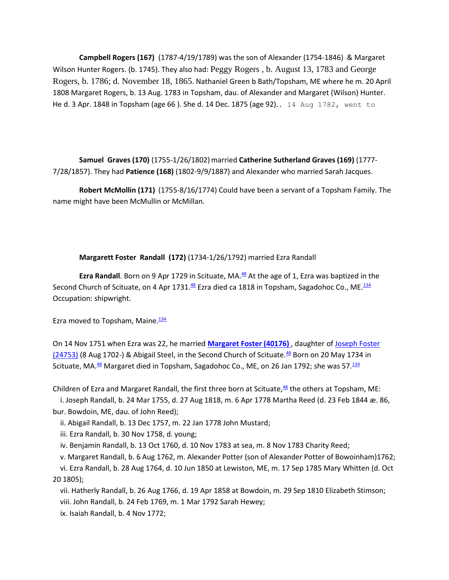**Campbell Rogers (167)** (1787-4/19/1789) was the son of Alexander (1754-1846) & Margaret Wilson Hunter Rogers. (b. 1745). They also had: Peggy Rogers , b. August 13, 1783 and George Rogers, b. 1786; d. November 18, 1865. Nathaniel Green b Bath/Topsham, ME where he m. 20 April 1808 Margaret Rogers, b. 13 Aug. 1783 in Topsham, dau. of Alexander and Margaret (Wilson) Hunter. He d. 3 Apr. 1848 in Topsham (age 66 ). She d. 14 Dec. 1875 (age 92).. 14 Aug 1782, went to

**Samuel Graves (170)** (1755-1/26/1802)married **Catherine Sutherland Graves (169)** (1777- 7/28/1857). They had **Patience (168)** (1802-9/9/1887) and Alexander who married Sarah Jacques.

**Robert McMollin (171)** (1755-8/16/1774) Could have been a servant of a Topsham Family. The name might have been McMullin or McMillan.

#### **Margarett Foster Randall (172)** (1734-1/26/1792) married Ezra Randall

**Ezra Randall**. Born on 9 Apr 1729 in Scituate, MA.<sup>[48](http://aleph0.clarku.edu/~djoyce/gen/report/rr_src/src001.html#C48)</sup> At the age of 1, Ezra was baptized in the Second Church of Scituate, on 4 Apr 1731.<sup>[48](http://aleph0.clarku.edu/~djoyce/gen/report/rr_src/src001.html#C48)</sup> Ezra died ca 1818 in Topsham, Sagadohoc Co., ME.<sup>[134](http://aleph0.clarku.edu/~djoyce/gen/report/rr_src/src001.html#C134)</sup> Occupation: shipwright.

Ezra moved to Topsham, Maine. $\frac{134}{1}$  $\frac{134}{1}$  $\frac{134}{1}$ 

On 14 Nov 1751 when Ezra was 22, he married **[Margaret Foster \(40176\)](http://aleph0.clarku.edu/~djoyce/gen/report/rr19/rr19_148.html#P12608)** , daughter of [Joseph Foster](http://aleph0.clarku.edu/~djoyce/gen/report/rr11/rr11_182.html#P6098)   $(24753)$  (8 Aug 1702-) & Abigail Steel, in the Second Church of Scituate.<sup>[48](http://aleph0.clarku.edu/~djoyce/gen/report/rr_src/src001.html#C48)</sup> Born on 20 May 1734 in Scituate, MA.<sup>[48](http://aleph0.clarku.edu/~djoyce/gen/report/rr_src/src001.html#C48)</sup> Margaret died in Topsham, Sagadohoc Co., ME, on 26 Jan 1792; she was 57.<sup>[134](http://aleph0.clarku.edu/~djoyce/gen/report/rr_src/src001.html#C134)</sup>

Children of Ezra and Margaret Randall, the first three born at Scituate, $48$  the others at Topsham, ME:

i. Joseph Randall, b. 24 Mar 1755, d. 27 Aug 1818, m. 6 Apr 1778 Martha Reed (d. 23 Feb 1844 æ. 86, bur. Bowdoin, ME, dau. of John Reed);

ii. Abigail Randall, b. 13 Dec 1757, m. 22 Jan 1778 John Mustard;

iii. Ezra Randall, b. 30 Nov 1758, d. young;

iv. Benjamin Randall, b. 13 Oct 1760, d. 10 Nov 1783 at sea, m. 8 Nov 1783 Charity Reed;

v. Margaret Randall, b. 6 Aug 1762, m. Alexander Potter (son of Alexander Potter of Bowoinham)1762;

vi. Ezra Randall, b. 28 Aug 1764, d. 10 Jun 1850 at Lewiston, ME, m. 17 Sep 1785 Mary Whitten (d. Oct 20 1805);

vii. Hatherly Randall, b. 26 Aug 1766, d. 19 Apr 1858 at Bowdoin, m. 29 Sep 1810 Elizabeth Stimson; viii. John Randall, b. 24 Feb 1769, m. 1 Mar 1792 Sarah Hewey;

ix. Isaiah Randall, b. 4 Nov 1772;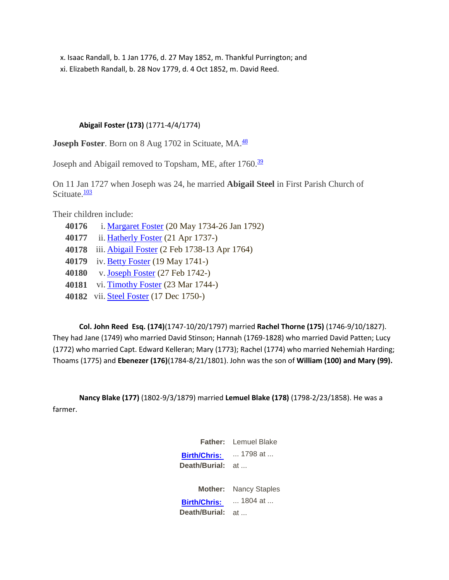x. Isaac Randall, b. 1 Jan 1776, d. 27 May 1852, m. Thankful Purrington; and xi. Elizabeth Randall, b. 28 Nov 1779, d. 4 Oct 1852, m. David Reed.

# **Abigail Foster (173)** (1771-4/4/1774)

**Joseph Foster**. Born on 8 Aug 1702 in Scituate, MA.<sup>[48](http://aleph0.clarku.edu/~djoyce/gen/report/rr_src/src001.html#C48)</sup>

Joseph and Abigail removed to Topsham, ME, after 1760.<sup>[39](http://aleph0.clarku.edu/~djoyce/gen/report/rr_src/src001.html#C39)</sup>

On 11 Jan 1727 when Joseph was 24, he married **Abigail Steel** in First Parish Church of Scituate. $\frac{103}{103}$  $\frac{103}{103}$  $\frac{103}{103}$ 

Their children include:

- **40176** i. [Margaret Foster](http://aleph0.clarku.edu/~djoyce/gen/report/rr19/rr19_148.html#P12608) (20 May 1734-26 Jan 1792)
- **40177** ii[. Hatherly Foster](http://aleph0.clarku.edu/~djoyce/gen/report/rr19/rr19_148.html#P135586) (21 Apr 1737-)
- **40178** iii. [Abigail Foster](http://aleph0.clarku.edu/~djoyce/gen/report/rr19/rr19_148.html#P22741) (2 Feb 1738-13 Apr 1764)
- **40179** iv. [Betty Foster](http://aleph0.clarku.edu/~djoyce/gen/report/rr19/rr19_148.html#P135585) (19 May 1741-)
- **40180** v[. Joseph Foster](http://aleph0.clarku.edu/~djoyce/gen/report/rr19/rr19_148.html#P135587) (27 Feb 1742-)
- **40181** vi. [Timothy Foster](http://aleph0.clarku.edu/~djoyce/gen/report/rr19/rr19_148.html#P135588) (23 Mar 1744-)
- **40182** vii[. Steel Foster](http://aleph0.clarku.edu/~djoyce/gen/report/rr19/rr19_148.html#P135589) (17 Dec 1750-)

**Col. John Reed Esq. (174)**(1747-10/20/1797) married **Rachel Thorne (175)** (1746-9/10/1827). They had Jane (1749) who married David Stinson; Hannah (1769-1828) who married David Patten; Lucy (1772) who married Capt. Edward Kelleran; Mary (1773); Rachel (1774) who married Nehemiah Harding; Thoams (1775) and **Ebenezer (176)**(1784-8/21/1801). John was the son of **William (100) and Mary (99).**

**Nancy Blake (177)** (1802-9/3/1879) married **Lemuel Blake (178)** (1798-2/23/1858). He was a farmer.

> **Father:** Lemuel Blake **[Birth/Chris:](http://www.mytrees.com/cgi-bin/yaodoqry?BLAKE+LEMUEL++1797+1799+++++++B++All+1+0+1+0+0+0)**  ... 1798 at ... **Death/Burial:** at ... **Mother:** Nancy Staples **[Birth/Chris:](http://www.mytrees.com/cgi-bin/yaodoqry?STAPLES+NANCY++1803+1805+++++++B++All+1+0+1+0+0+0)**  ... 1804 at ... **Death/Burial:** at ...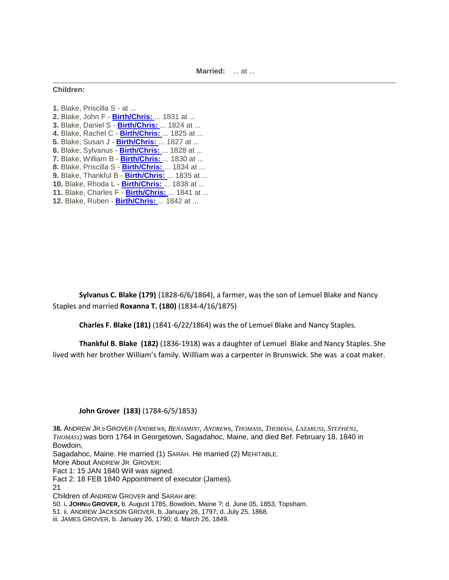### **Children:**

**1.** Blake, Priscilla S - at ... **2.** Blake, John F - **[Birth/Chris:](http://www.mytrees.com/cgi-bin/yaodoqry?BLAKE+JOHN++1830+1832+++++++B++All+1+0+1+0+0+0)** ... 1831 at ... **3.** Blake, Daniel S - **[Birth/Chris:](http://www.mytrees.com/cgi-bin/yaodoqry?BLAKE+DANIEL++1823+1825+++++++B++All+1+0+1+0+0+0)** ... 1824 at ... **4.** Blake, Rachel C - **[Birth/Chris:](http://www.mytrees.com/cgi-bin/yaodoqry?BLAKE+RACHEL++1824+1826+++++++B++All+1+0+1+0+0+0)** ... 1825 at ... **5.** Blake, Susan J - **[Birth/Chris:](http://www.mytrees.com/cgi-bin/yaodoqry?BLAKE+SUSAN++1826+1828+++++++B++All+1+0+1+0+0+0)** ... 1827 at ... **6.** Blake, Sylvanus - **[Birth/Chris:](http://www.mytrees.com/cgi-bin/yaodoqry?BLAKE+SYLVANUS++1827+1829+++++++B++All+1+0+1+0+0+0)** ... 1828 at ... **7.** Blake, William B - **[Birth/Chris:](http://www.mytrees.com/cgi-bin/yaodoqry?BLAKE+WILLIAM++1829+1831+++++++B++All+1+0+1+0+0+0)** ... 1830 at ... **8.** Blake, Priscilla S - **[Birth/Chris:](http://www.mytrees.com/cgi-bin/yaodoqry?BLAKE+PRISCILLA++1833+1835+++++++B++All+1+0+1+0+0+0)** ... 1834 at ... **9.** Blake, Thankful B - **[Birth/Chris:](http://www.mytrees.com/cgi-bin/yaodoqry?BLAKE+THANKFUL++1834+1836+++++++B++All+1+0+1+0+0+0)** ... 1835 at ... **10.** Blake, Rhoda L - **[Birth/Chris:](http://www.mytrees.com/cgi-bin/yaodoqry?BLAKE+RHODA++1837+1839+++++++B++All+1+0+1+0+0+0)** ... 1838 at ... **11.** Blake, Charles F - **[Birth/Chris:](http://www.mytrees.com/cgi-bin/yaodoqry?BLAKE+CHARLES++1840+1842+++++++B++All+1+0+1+0+0+0)** ... 1841 at ... **12.** Blake, Ruben - **[Birth/Chris:](http://www.mytrees.com/cgi-bin/yaodoqry?BLAKE+RUBEN++1841+1843+++++++B++All+1+0+1+0+0+0)** ... 1842 at ...

**Sylvanus C. Blake (179)** (1828-6/6/1864), a farmer, was the son of Lemuel Blake and Nancy Staples and married **Roxanna T. (180)** (1834-4/16/1875)

**Charles F. Blake (181)** (1841-6/22/1864) was the of Lemuel Blake and Nancy Staples.

**Thankful B. Blake (182)** (1836-1918) was a daughter of Lemuel Blake and Nancy Staples. She lived with her brother William's family. Willliam was a carpenter in Brunswick. She was a coat maker.

## **John Grover (183)** (1784-6/5/1853)

**38.** ANDREW JR.9 GROVER *(ANDREW*8*, BENJAMIN*7*, ANDREW*6*, THOMAS*5*, THOMAS*4*, LAZARUS*3*, STEPHEN*2*, THOMAS*1*)* was born 1764 in Georgetown, Sagadahoc, Maine, and died Bef. February 18, 1840 in Bowdoin, Sagadahoc, Maine. He married (1) SARAH. He married (2) MEHITABLE. More About ANDREW JR. GROVER: Fact 1: 15 JAN 1840 Will was signed. Fact 2: 18 FEB 1840 Appointment of executor (James). 21 Children of ANDREW GROVER and SARAH are: 50. i**. JOHN10 GROVER,** b. August 1785, Bowdoin, Maine ?; d. June 05, 1853, Topsham. 51. ii. ANDREW JACKSON GROVER, b. January 26, 1797; d. July 25, 1868.

iii. JAMES GROVER, b. January 26, 1790; d. March 26, 1849.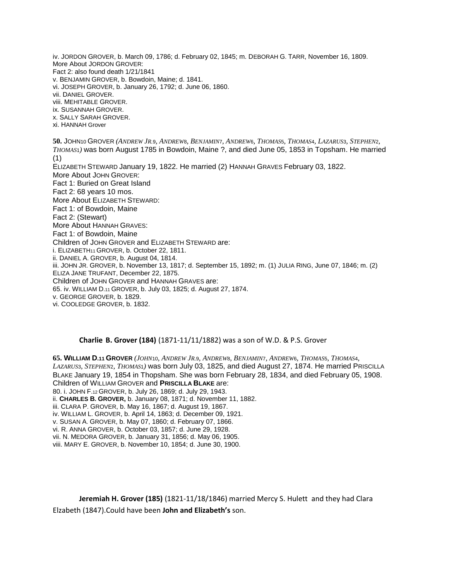iv. JORDON GROVER, b. March 09, 1786; d. February 02, 1845; m. DEBORAH G. TARR, November 16, 1809. More About JORDON GROVER: Fact 2: also found death 1/21/1841 v. BENJAMIN GROVER, b. Bowdoin, Maine; d. 1841. vi. JOSEPH GROVER, b. January 26, 1792; d. June 06, 1860. vii. DANIEL GROVER. viii. MEHITABLE GROVER. ix. SUSANNAH GROVER. x. SALLY SARAH GROVER. xi. HANNAH Grover 50. JOHN10 GROVER (ANDREW JR.9, ANDREW8, BENJAMINT, ANDREW6, THOMAS5, THOMAS4, LAZARUS3, STEPHEN2, *THOMAS*1*)* was born August 1785 in Bowdoin, Maine ?, and died June 05, 1853 in Topsham. He married (1) ELIZABETH STEWARD January 19, 1822. He married (2) HANNAH GRAVES February 03, 1822. More About JOHN GROVER: Fact 1: Buried on Great Island Fact 2: 68 years 10 mos. More About ELIZABETH STEWARD: Fact 1: of Bowdoin, Maine Fact 2: (Stewart) More About HANNAH GRAVES: Fact 1: of Bowdoin, Maine Children of JOHN GROVER and ELIZABETH STEWARD are: i. ELIZABETH11 GROVER, b. October 22, 1811. ii. DANIEL A. GROVER, b. August 04, 1814. iii. JOHN JR. GROVER, b. November 13, 1817; d. September 15, 1892; m. (1) JULIA RING, June 07, 1846; m. (2) ELIZA JANE TRUFANT, December 22, 1875. Children of JOHN GROVER and HANNAH GRAVES are: 65. iv. WILLIAM D.11 GROVER, b. July 03, 1825; d. August 27, 1874. v. GEORGE GROVER, b. 1829. vi. COOLEDGE GROVER, b. 1832.

## **Charlie B. Grover (184)** (1871-11/11/1882) was a son of W.D. & P.S. Grover

65. WILLIAM D.11 GROVER (JOHN10, ANDREW JR.9, ANDREW8, BENJAMIN7, ANDREW6, THOMAS5, THOMAS4, *LAZARUS*3*, STEPHEN*2*, THOMAS*1*)* was born July 03, 1825, and died August 27, 1874. He married PRISCILLA BLAKE January 19, 1854 in Thopsham. She was born February 28, 1834, and died February 05, 1908. Children of WILLIAM GROVER and **PRISCILLA BLAKE** are: 80. i. JOHN F.12 GROVER, b. July 26, 1869; d. July 29, 1943. ii. **CHARLES B. GROVER,** b. January 08, 1871; d. November 11, 1882. iii. CLARA P. GROVER, b. May 16, 1867; d. August 19, 1867. iv. WILLIAM L. GROVER, b. April 14, 1863; d. December 09, 1921. v. SUSAN A. GROVER, b. May 07, 1860; d. February 07, 1866. vi. R. ANNA GROVER, b. October 03, 1857; d. June 29, 1928. vii. N. MEDORA GROVER, b. January 31, 1856; d. May 06, 1905. viii. MARY E. GROVER, b. November 10, 1854; d. June 30, 1900.

**Jeremiah H. Grover (185)** (1821-11/18/1846) married Mercy S. Hulett and they had Clara Elzabeth (1847).Could have been **John and Elizabeth's** son.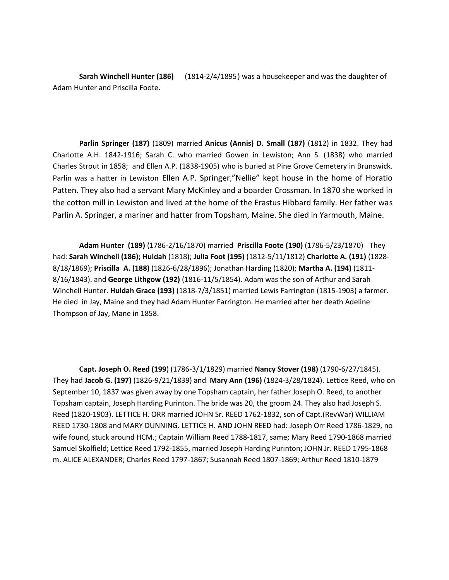**Sarah Winchell Hunter (186)** (1814-2/4/1895) was a housekeeper and was the daughter of Adam Hunter and Priscilla Foote.

**Parlin Springer (187)** (1809) married **Anicus (Annis) D. Small (187)** (1812) in 1832. They had Charlotte A.H. 1842-1916; Sarah C. who married Gowen in Lewiston; Ann S. (1838) who married Charles Strout in 1858; and Ellen A.P. (1838-1905) who is buried at Pine Grove Cemetery in Brunswick. Parlin was a hatter in Lewiston Ellen A.P. Springer,"Nellie" kept house in the home of Horatio Patten. They also had a servant Mary McKinley and a boarder Crossman. In 1870 she worked in the cotton mill in Lewiston and lived at the home of the Erastus Hibbard family. Her father was Parlin A. Springer, a mariner and hatter from Topsham, Maine. She died in Yarmouth, Maine.

**Adam Hunter (189)** (1786-2/16/1870) married **Priscilla Foote (190)** (1786-5/23/1870) They had: **Sarah Winchell (186); Huldah** (1818); **Julia Foot (195)** (1812-5/11/1812) **Charlotte A. (191)** (1828- 8/18/1869); **Priscilla A. (188)** (1826-6/28/1896); Jonathan Harding (1820); **Martha A. (194)** (1811- 8/16/1843). and **George Lithgow (192)** (1816-11/5/1854). Adam was the son of Arthur and Sarah Winchell Hunter. **Huldah Grace (193)** (1818-7/3/1851) married Lewis Farrington (1815-1903) a farmer. He died in Jay, Maine and they had Adam Hunter Farrington. He married after her death Adeline Thompson of Jay, Mane in 1858.

**Capt. Joseph O. Reed (199**) (1786-3/1/1829) married **Nancy Stover (198)** (1790-6/27/1845). They had **Jacob G. (197)** (1826-9/21/1839) and **Mary Ann (196)** (1824-3/28/1824). Lettice Reed, who on September 10, 1837 was given away by one Topsham captain, her father Joseph O. Reed, to another Topsham captain, Joseph Harding Purinton. The bride was 20, the groom 24. They also had Joseph S. Reed (1820-1903). LETTICE H. ORR married JOHN Sr. REED 1762-1832, son of Capt.(RevWar) WILLIAM REED 1730-1808 and MARY DUNNING. LETTICE H. AND JOHN REED had: Joseph Orr Reed 1786-1829, no wife found, stuck around HCM.; Captain William Reed 1788-1817, same; Mary Reed 1790-1868 married Samuel Skolfield; Lettice Reed 1792-1855, married Joseph Harding Purinton; JOHN Jr. REED 1795-1868 m. ALICE ALEXANDER; Charles Reed 1797-1867; Susannah Reed 1807-1869; Arthur Reed 1810-1879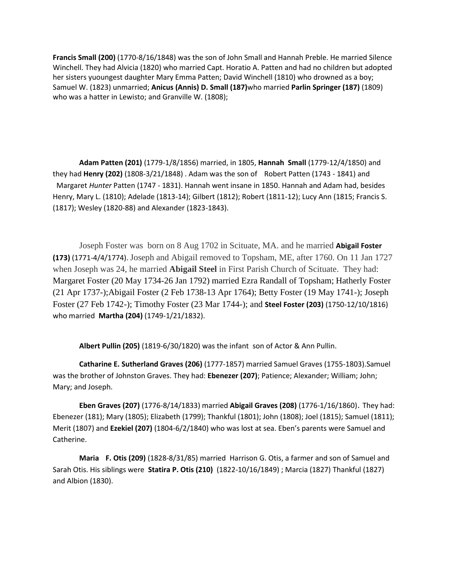**Francis Small (200)** (1770-8/16/1848) was the son of John Small and Hannah Preble. He married Silence Winchell. They had Alvicia (1820) who married Capt. Horatio A. Patten and had no children but adopted her sisters yuoungest daughter Mary Emma Patten; David Winchell (1810) who drowned as a boy; Samuel W. (1823) unmarried; **Anicus (Annis) D. Small (187)**who married **Parlin Springer (187)** (1809) who was a hatter in Lewisto; and Granville W. (1808);

**Adam Patten (201)** (1779-1/8/1856) married, in 1805, **Hannah Small** (1779-12/4/1850) and they had **Henry (202)** (1808-3/21/1848) . Adam was the son of [Robert Patten \(1743 -](http://www.findagrave.com/cgi-bin/fg.cgi?page=gr&GRid=38021778) 1841) and Margaret *Hunter* [Patten \(1747 -](http://www.findagrave.com/cgi-bin/fg.cgi?page=gr&GRid=38021794) 1831). Hannah went insane in 1850. Hannah and Adam had, besides Henry, Mary L. (1810); Adelade (1813-14); Gilbert (1812); Robert (1811-12); Lucy Ann (1815; Francis S. (1817); Wesley (1820-88) and Alexander (1823-1843).

Joseph Foster was born on 8 Aug 1702 in Scituate, MA. and he married **Abigail Foster (173)** (1771-4/4/1774). Joseph and Abigail removed to Topsham, ME, after 1760. On 11 Jan 1727 when Joseph was 24, he married **Abigail Steel** in First Parish Church of Scituate. They had: [Margaret Foster](http://aleph0.clarku.edu/~djoyce/gen/report/rr19/rr19_148.html#P12608) (20 May 1734-26 Jan 1792) married Ezra Randall of Topsham; [Hatherly Foster](http://aleph0.clarku.edu/~djoyce/gen/report/rr19/rr19_148.html#P135586) (21 Apr 1737-)[;Abigail Foster](http://aleph0.clarku.edu/~djoyce/gen/report/rr19/rr19_148.html#P22741) (2 Feb 1738-13 Apr 1764); [Betty Foster](http://aleph0.clarku.edu/~djoyce/gen/report/rr19/rr19_148.html#P135585) (19 May 1741-); [Joseph](http://aleph0.clarku.edu/~djoyce/gen/report/rr19/rr19_148.html#P135587)  [Foster](http://aleph0.clarku.edu/~djoyce/gen/report/rr19/rr19_148.html#P135587) (27 Feb 1742-); [Timothy Foster](http://aleph0.clarku.edu/~djoyce/gen/report/rr19/rr19_148.html#P135588) (23 Mar 1744-); and **Steel Foster (203)** (1750-12/10/1816) who married **Martha (204)** (1749-1/21/1832).

**Albert Pullin (205)** (1819-6/30/1820) was the infant son of Actor & Ann Pullin.

**Catharine E. Sutherland Graves (206)** (1777-1857) married Samuel Graves (1755-1803).Samuel was the brother of Johnston Graves. They had: **Ebenezer (207)**; Patience; Alexander; William; John; Mary; and Joseph.

**Eben Graves (207)** (1776-8/14/1833) married **Abigail Graves (208)** (1776-1/16/1860). They had: Ebenezer (181); Mary (1805); Elizabeth (1799); Thankful (1801); John (1808); Joel (1815); Samuel (1811); Merit (1807) and **Ezekiel (207)** (1804-6/2/1840) who was lost at sea. Eben's parents were Samuel and Catherine.

**Maria F. Otis (209)** (1828-8/31/85) married Harrison G. Otis, a farmer and son of Samuel and Sarah Otis. His siblings were **Statira P. Otis (210)** (1822-10/16/1849) ; Marcia (1827) Thankful (1827) and Albion (1830).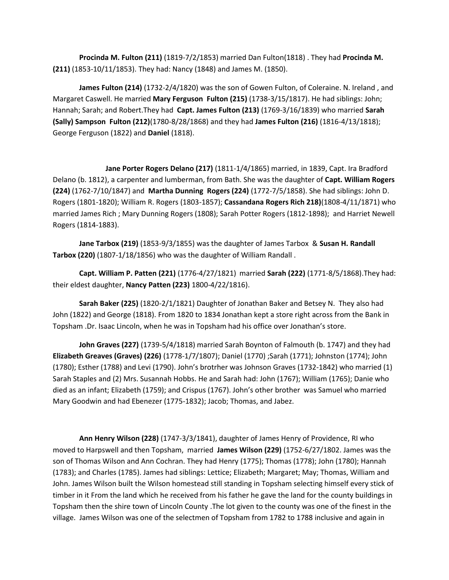**Procinda M. Fulton (211)** (1819-7/2/1853) married Dan Fulton(1818) . They had **Procinda M. (211)** (1853-10/11/1853). They had: Nancy (1848) and James M. (1850).

**James Fulton (214)** (1732-2/4/1820) was the son of Gowen Fulton, of Coleraine. N. Ireland , and Margaret Caswell. He married **Mary Ferguson Fulton (215)** (1738-3/15/1817). He had siblings: John; Hannah; Sarah; and Robert.They had **Capt. James Fulton (213)** (1769-3/16/1839) who married **Sarah (Sally) Sampson Fulton (212)**(1780-8/28/1868) and they had **James Fulton (216)** (1816-4/13/1818); George Ferguson (1822) and **Daniel** (1818).

**Jane Porter Rogers Delano (217)** (1811-1/4/1865) married, in 1839, Capt. Ira Bradford Delano (b. 1812), a carpenter and lumberman, from Bath. She was the daughter of **Capt. William Rogers (224)** (1762-7/10/1847) and **Martha Dunning Rogers (224)** (1772-7/5/1858). She had siblings: John D. Rogers (1801-1820); William R. Rogers (1803-1857); **Cassandana Rogers Rich 218)**(1808-4/11/1871) who married James Rich ; Mary Dunning Rogers (1808); Sarah Potter Rogers (1812-1898); and Harriet Newell Rogers (1814-1883).

**Jane Tarbox (219)** (1853-9/3/1855) was the daughter of James Tarbox & **Susan H. Randall Tarbox (220)** (1807-1/18/1856) who was the daughter of William Randall .

**Capt. William P. Patten (221)** (1776-4/27/1821) married **Sarah (222)** (1771-8/5/1868).They had: their eldest daughter, **Nancy Patten (223)** 1800-4/22/1816).

**Sarah Baker (225)** (1820-2/1/1821) Daughter of Jonathan Baker and Betsey N. They also had John (1822) and George (1818). From 1820 to 1834 Jonathan kept a store right across from the Bank in Topsham .Dr. Isaac Lincoln, when he was in Topsham had his office over Jonathan's store.

**John Graves (227)** (1739-5/4/1818) married Sarah Boynton of Falmouth (b. 1747) and they had **Elizabeth Greaves (Graves) (226)** (1778-1/7/1807); Daniel (1770) ;Sarah (1771); Johnston (1774); John (1780); Esther (1788) and Levi (1790). John's brotrher was Johnson Graves (1732-1842) who married (1) Sarah Staples and (2) Mrs. Susannah Hobbs. He and Sarah had: John (1767); William (1765); Danie who died as an infant; Elizabeth (1759); and Crispus (1767). John's other brother was Samuel who married Mary Goodwin and had Ebenezer (1775-1832); Jacob; Thomas, and Jabez.

**Ann Henry Wilson (228)** (1747-3/3/1841), daughter of James Henry of Providence, RI who moved to Harpswell and then Topsham, married **James Wilson (229)** (1752-6/27/1802. James was the son of Thomas Wilson and Ann Cochran. They had Henry (1775); Thomas (1778); John (1780); Hannah (1783); and Charles (1785). James had siblings: Lettice; Elizabeth; Margaret; May; Thomas, William and John. James Wilson built the Wilson homestead still standing in Topsham selecting himself every stick of timber in it From the land which he received from his father he gave the land for the county buildings in Topsham then the shire town of Lincoln County .The lot given to the county was one of the finest in the village. James Wilson was one of the selectmen of Topsham from 1782 to 1788 inclusive and again in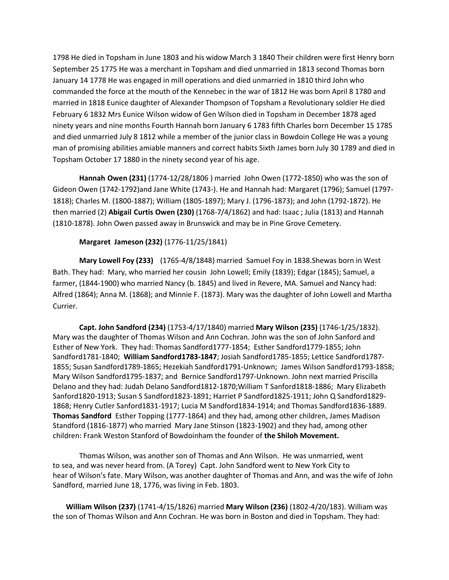1798 He died in Topsham in June 1803 and his widow March 3 1840 Their children were first Henry born September 25 1775 He was a merchant in Topsham and died unmarried in 1813 second Thomas born January 14 1778 He was engaged in mill operations and died unmarried in 1810 third John who commanded the force at the mouth of the Kennebec in the war of 1812 He was born April 8 1780 and married in 1818 Eunice daughter of Alexander Thompson of Topsham a Revolutionary soldier He died February 6 1832 Mrs Eunice Wilson widow of Gen Wilson died in Topsham in December 1878 aged ninety years and nine months Fourth Hannah born January 6 1783 fifth Charles born December 15 1785 and died unmarried July 8 1812 while a member of the junior class in Bowdoin College He was a young man of promising abilities amiable manners and correct habits Sixth James born July 30 1789 and died in Topsham October 17 1880 in the ninety second year of his age.

**Hannah Owen (231)** (1774-12/28/1806 ) married John Owen (1772-1850) who was the son of Gideon Owen (1742-1792)and Jane White (1743-). He and Hannah had: Margaret (1796); Samuel (1797- 1818); Charles M. (1800-1887); William (1805-1897); Mary J. (1796-1873); and John (1792-1872). He then married (2) **Abigail Curtis Owen (230)** (1768-7/4/1862) and had: Isaac ; Julia (1813) and Hannah (1810-1878). John Owen passed away in Brunswick and may be in Pine Grove Cemetery.

## **Margaret Jameson (232)** (1776-11/25/1841)

**Mary Lowell Foy (233)** (1765-4/8/1848) married Samuel Foy in 1838.Shewas born in West Bath. They had: Mary, who married her cousin John Lowell; Emily (1839); Edgar (1845); Samuel, a farmer, (1844-1900) who married Nancy (b. 1845) and lived in Revere, MA. Samuel and Nancy had: Alfred (1864); Anna M. (1868); and Minnie F. (1873). Mary was the daughter of John Lowell and Martha Currier.

**Capt. John Sandford (234)** (1753-4/17/1840) married **Mary Wilson (235)** (1746-1/25/1832). Mary was the daughter of Thomas Wilson and Ann Cochran. John was the son of John Sanford and Esther of New York. They had: Thomas Sandford1777-1854; [Esther Sandford1779-1855;](http://records.ancestry.com/Esther_Sandford_records.ashx?pid=150838500) [John](http://records.ancestry.com/John_Sandford_records.ashx?pid=13164096)  [Sandford1781-1840;](http://records.ancestry.com/John_Sandford_records.ashx?pid=13164096) **[William Sandford1783-1847](http://records.ancestry.com/William_Sandford_records.ashx?pid=44298494)**; [Josiah Sandford1785-1855;](http://records.ancestry.com/Josiah_Sandford_records.ashx?pid=13159866) [Lettice Sandford1787-](http://records.ancestry.com/Lettice_Sandford_records.ashx?pid=106740040) [1855;](http://records.ancestry.com/Lettice_Sandford_records.ashx?pid=106740040) [Susan Sandford1789-1865;](http://records.ancestry.com/Susan_Sandford_records.ashx?pid=83977839) [Hezekiah Sandford1791-Unknown;](http://records.ancestry.com/Hezekiah_Sandford_records.ashx?pid=108134853) [James Wilson Sandford1793-1858;](http://records.ancestry.com/James_Wilson_Sandford_records.ashx?pid=64573951) [Mary Wilson Sandford1795-1837;](http://records.ancestry.com/Mary_Wilson_Sandford_records.ashx?pid=56841101) and [Bernice Sandford1797-Unknown.](http://records.ancestry.com/Bernice_Sandford_records.ashx?pid=85183109) John next married Priscilla Delano and they had: [Judah Delano Sandford1812-1870](http://records.ancestry.com/Judah_Delano_Sandford_records.ashx?pid=103950404)[;William T Sanford1818-1886;](http://records.ancestry.com/William_T_Sanford_records.ashx?pid=43714292) [Mary Elizabeth](http://records.ancestry.com/Mary_Elizabeth_Sanford_records.ashx?pid=76566061)  [Sanford1820-1913;](http://records.ancestry.com/Mary_Elizabeth_Sanford_records.ashx?pid=76566061) [Susan S Sandford1823-1891;](http://records.ancestry.com/Susan_S_Sandford_records.ashx?pid=63738577) [Harriet P Sandford1825-1911;](http://records.ancestry.com/Harriet_P_Sandford_records.ashx?pid=53087787) [John Q Sandford1829-](http://records.ancestry.com/John_Q_Sandford_records.ashx?pid=84401569) [1868;](http://records.ancestry.com/John_Q_Sandford_records.ashx?pid=84401569) [Henry Cutler Sanford1831-1917;](http://records.ancestry.com/Henry_Cutler_Sanford_records.ashx?pid=43718065) [Lucia M Sandford1834-1914;](http://records.ancestry.com/Lucia_M_Sandford_records.ashx?pid=62908081) an[d Thomas Sandford1836-1889.](http://records.ancestry.com/Thomas_Sandford_records.ashx?pid=91334051) **Thomas Sandford** Esther Topping (1777-1864) and they had, among other children, James Madison Standford (1816-1877) who married Mary Jane Stinson (1823-1902) and they had, among other children: Frank Weston Stanford of Bowdoinham the founder of **the Shiloh Movement.** 

Thomas Wilson, was another son of Thomas and Ann Wilson. He was unmarried, went to sea, and was never heard from. (A Torey) Capt. John Sandford went to New York City to hear of Wilson's fate. Mary Wilson, was another daughter of Thomas and Ann, and was the wife of John Sandford, married June 18, 1776, was living in Feb. 1803.

**William Wilson (237)** (1741-4/15/1826) married **Mary Wilson (236)** (1802-4/20/183). William was the son of Thomas Wilson and Ann Cochran. He was born in Boston and died in Topsham. They had: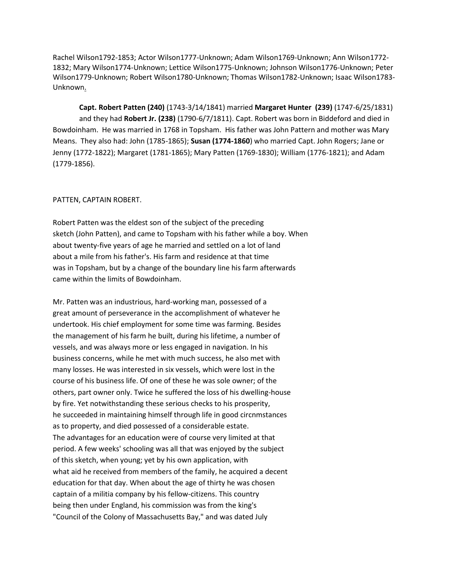[Rachel Wilson1792-1853;](http://records.ancestry.com/Rachel_Wilson_records.ashx?pid=42785058) [Actor Wilson1777-Unknown;](http://records.ancestry.com/Actor_Wilson_records.ashx?pid=42802297) [Adam Wilson1769-Unknown;](http://records.ancestry.com/Adam_Wilson_records.ashx?pid=42853892) [Ann Wilson1772-](http://records.ancestry.com/Ann_Wilson_records.ashx?pid=35487921) [1832;](http://records.ancestry.com/Ann_Wilson_records.ashx?pid=35487921) [Mary Wilson1774-Unknown;](http://records.ancestry.com/Mary_Wilson_records.ashx?pid=42731763) [Lettice Wilson1775-Unknown;](http://records.ancestry.com/Lettice_Wilson_records.ashx?pid=42760733) [Johnson Wilson1776-Unknown;](http://records.ancestry.com/Johnson_Wilson_records.ashx?pid=42769292) [Peter](http://records.ancestry.com/Peter_Wilson_records.ashx?pid=42753537)  [Wilson1779-Unknown;](http://records.ancestry.com/Peter_Wilson_records.ashx?pid=42753537) [Robert Wilson1780-Unknown;](http://records.ancestry.com/Robert_Wilson_records.ashx?pid=42751249) [Thomas Wilson1782-Unknown;](http://records.ancestry.com/Thomas_Wilson_records.ashx?pid=42772174) [Isaac Wilson1783-](http://records.ancestry.com/Isaac_Wilson_records.ashx?pid=42819679) [Unknown.](http://records.ancestry.com/Isaac_Wilson_records.ashx?pid=42819679)

**Capt. Robert Patten (240)** (1743-3/14/1841) married **Margaret Hunter (239)** (1747-6/25/1831) and they had **Robert Jr. (238)** (1790-6/7/1811). Capt. Robert was born in Biddeford and died in Bowdoinham. He was married in 1768 in Topsham. His father was John Pattern and mother was Mary Means. They also had: John (1785-1865); **Susan (1774-1860**) who married Capt. John Rogers; Jane or Jenny (1772-1822); Margaret (1781-1865); Mary Patten (1769-1830); William (1776-1821); and Adam (1779-1856).

#### PATTEN, CAPTAIN ROBERT.

Robert Patten was the eldest son of the subject of the preceding sketch (John Patten), and came to Topsham with his father while a boy. When about twenty-five years of age he married and settled on a lot of land about a mile from his father's. His farm and residence at that time was in Topsham, but by a change of the boundary line his farm afterwards came within the limits of Bowdoinham.

Mr. Patten was an industrious, hard-working man, possessed of a great amount of perseverance in the accomplishment of whatever he undertook. His chief employment for some time was farming. Besides the management of his farm he built, during his lifetime, a number of vessels, and was always more or less engaged in navigation. In his business concerns, while he met with much success, he also met with many losses. He was interested in six vessels, which were lost in the course of his business life. Of one of these he was sole owner; of the others, part owner only. Twice he suffered the loss of his dwelling-house by fire. Yet notwithstanding these serious checks to his prosperity, he succeeded in maintaining himself through life in good circnmstances as to property, and died possessed of a considerable estate. The advantages for an education were of course very limited at that period. A few weeks' schooling was all that was enjoyed by the subject of this sketch, when young; yet by his own application, with what aid he received from members of the family, he acquired a decent education for that day. When about the age of thirty he was chosen captain of a militia company by his fellow-citizens. This country being then under England, his commission was from the king's "Council of the Colony of Massachusetts Bay," and was dated July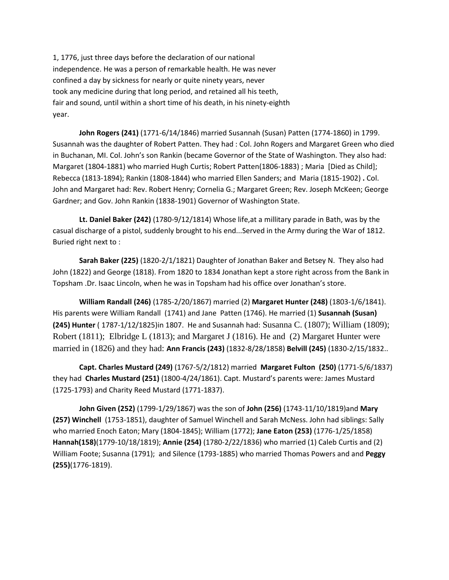1, 1776, just three days before the declaration of our national independence. He was a person of remarkable health. He was never confined a day by sickness for nearly or quite ninety years, never took any medicine during that long period, and retained all his teeth, fair and sound, until within a short time of his death, in his ninety-eighth year.

**John Rogers (241)** (1771-6/14/1846) married Susannah (Susan) Patten (1774-1860) in 1799. Susannah was the daughter of Robert Patten. They had : Col. John Rogers and Margaret Green who died in Buchanan, MI. Col. John's son Rankin (became Governor of the State of Washington. They also had: [Margaret \(](http://www.gustafsonfam.com/genealogy/wc07/wc07_132.html)1804-1881) who married Hugh Curtis; [Robert Patten\(1806-1883\)](http://www.gustafsonfam.com/genealogy/wc07/wc07_133.html) ; [Maria](http://www.gustafsonfam.com/genealogy/wc07/wc07_136.html) [Died as Child]; Rebecca (1813-1894); Rankin (1808-1844) who married Ellen Sanders; and Maria [\(1815-1902\)](http://www.gustafsonfam.com/genealogy/wc07/wc07_138.html) **.** Col. John and Margaret had: Rev. Robert Henry; Cornelia G.; Margaret Green; Rev. Joseph McKeen; George Gardner; and Gov. John Rankin (1838-1901) Governor of Washington State.

**Lt. Daniel Baker (242)** (1780-9/12/1814) Whose life,at a millitary parade in Bath, was by the casual discharge of a pistol, suddenly brought to his end...Served in the Army during the War of 1812. Buried right next to :

**Sarah Baker (225)** (1820-2/1/1821) Daughter of Jonathan Baker and Betsey N. They also had John (1822) and George (1818). From 1820 to 1834 Jonathan kept a store right across from the Bank in Topsham .Dr. Isaac Lincoln, when he was in Topsham had his office over Jonathan's store.

**William Randall (246)** (1785-2/20/1867) married (2) **Margaret Hunter (248)** (1803-1/6/1841). His parents were William Randall (1741) and Jane Patten (1746). He married (1) **Susannah (Susan) (245) Hunter** ( 1787-1/12/1825)in 1807. He and Susannah had: [Susanna C.](http://wc.rootsweb.ancestry.com/cgi-bin/igm.cgi?op=GET&db=stephcarson&id=I9270) (1807); [William](http://wc.rootsweb.ancestry.com/cgi-bin/igm.cgi?op=GET&db=stephcarson&id=I9271) (1809); [Robert](http://wc.rootsweb.ancestry.com/cgi-bin/igm.cgi?op=GET&db=stephcarson&id=I9269) (1811); [Elbridge L](http://wc.rootsweb.ancestry.com/cgi-bin/igm.cgi?op=GET&db=stephcarson&id=I9267) (1813); and [Margaret J \(](http://wc.rootsweb.ancestry.com/cgi-bin/igm.cgi?op=GET&db=stephcarson&id=I9268)1816). He and (2) Margaret Hunter were married in (1826) and they had: **Ann Francis (243)** (1832-8/28/1858) **Belvill (245)** (1830-2/15/1832..

**Capt. Charles Mustard (249)** (1767-5/2/1812) married **Margaret Fulton (250)** (1771-5/6/1837) they had **Charles Mustard (251)** (1800-4/24/1861). Capt. Mustard's parents were: James Mustard (1725-1793) and Charity Reed Mustard (1771-1837).

**John Given (252)** (1799-1/29/1867) was the son of **John (256)** (1743-11/10/1819)and **Mary (257) Winchell** (1753-1851), daughter of Samuel Winchell and Sarah McNess. John had siblings: Sally who married Enoch Eaton; Mary (1804-1845); William (1772); **Jane Eaton (253)** (1776-1/25/1858) **Hannah(158)**(1779-10/18/1819); **Annie (254)** (1780-2/22/1836) who married (1) Caleb Curtis and (2) William Foote; Susanna (1791); and Silence (1793-1885) who married Thomas Powers and and **Peggy (255)**(1776-1819).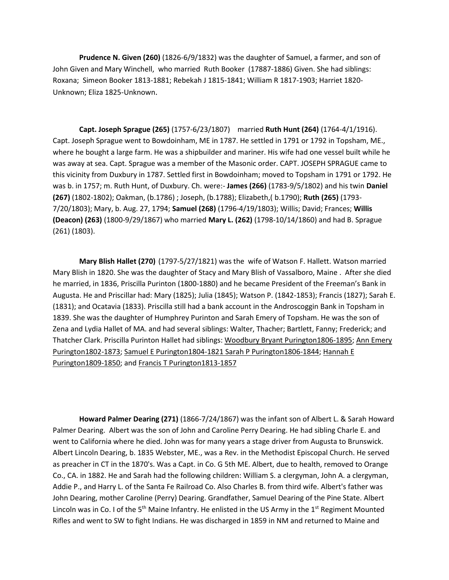**Prudence N. Given (260)** (1826-6/9/1832) was the daughter of Samuel, a farmer, and son of John Given and Mary Winchell, who married Ruth Booker (17887-1886) Given. She had siblings: Roxana; [Simeon Booker 1813-1881;](http://records.ancestry.com/Simeon_Booker_Given_records.ashx?pid=99335386) [Rebekah J 1815-1841;](http://records.ancestry.com/Rebekah_J_Given_records.ashx?pid=173510565) [William R 1817-1903;](http://records.ancestry.com/William_R_Given_records.ashx?pid=152339954) [Harriet 1820-](http://records.ancestry.com/Harriet_Given_records.ashx?pid=159478168) [Unknown;](http://records.ancestry.com/Harriet_Given_records.ashx?pid=159478168) [Eliza 1825-Unknown](http://records.ancestry.com/Eliza_Given_records.ashx?pid=143057775).

**Capt. Joseph Sprague (265)** (1757-6/23/1807) married **Ruth Hunt (264)** (1764-4/1/1916). Capt. Joseph Sprague went to Bowdoinham, ME in 1787. He settled in 1791 or 1792 in Topsham, ME., where he bought a large farm. He was a shipbuilder and mariner. His wife had one vessel built while he was away at sea. Capt. Sprague was a member of the Masonic order. CAPT. JOSEPH SPRAGUE came to this vicinity from Duxbury in 1787. Settled first in Bowdoinham; moved to Topsham in 1791 or 1792. He was b. in 1757; m. Ruth Hunt, of Duxbury. Ch. were:- **James (266)** (1783-9/5/1802) and his twin **Daniel (267)** (1802-1802); Oakman, (b.1786) ; Joseph, (b.1788); Elizabeth,( b.1790); **Ruth (265)** (1793- 7/20/1803); Mary, b. Aug. 27, 1794; **Samuel (268)** (1796-4/19/1803); Willis; David; Frances; **Willis (Deacon) (263)** (1800-9/29/1867) who married **Mary L. (262)** (1798-10/14/1860) and had B. Sprague (261) (1803).

**Mary Blish Hallet (270)** (1797-5/27/1821) was the wife of Watson F. Hallett. Watson married Mary Blish in 1820. She was the daughter of Stacy and Mary Blish of Vassalboro, Maine . After she died he married, in 1836, Priscilla Purinton (1800-1880) and he became President of the Freeman's Bank in Augusta. He and Priscillar had: Mary (1825); Julia (1845); Watson P. (1842-1853); Francis (1827); Sarah E. (1831); and Ocatavia (1833). Priscilla still had a bank account in the Androscoggin Bank in Topsham in 1839. She was the daughter of Humphrey Purinton and Sarah Emery of Topsham. He was the son of Zena and Lydia Hallet of MA. and had several siblings: Walter, Thacher; Bartlett, Fanny; Frederick; and Thatcher Clark. Priscilla Purinton Hallet had siblings: [Woodbury Bryant Purington1806-1895;](http://records.ancestry.com/Woodbury_Bryant_Purington_records.ashx?pid=41693822) [Ann Emery](http://records.ancestry.com/Ann_Emery_Purington_records.ashx?pid=88220433)  [Purington1802-1873;](http://records.ancestry.com/Ann_Emery_Purington_records.ashx?pid=88220433) Samuel E Purington1804-1821 [Sarah P Purington1806-1844;](http://records.ancestry.com/Sarah_P_Purington_records.ashx?pid=151564450) [Hannah E](http://records.ancestry.com/Hannah_E_Purington_records.ashx?pid=137354455)  [Purington1809-1850;](http://records.ancestry.com/Hannah_E_Purington_records.ashx?pid=137354455) and [Francis T Purington1813-1857](http://records.ancestry.com/Francis_T_Purington_records.ashx?pid=166998655)

**Howard Palmer Dearing (271)** (1866-7/24/1867) was the infant son of Albert L. & Sarah Howard Palmer Dearing. Albert was the son of John and Caroline Perry Dearing. He had sibling Charle E. and went to California where he died. John was for many years a stage driver from Augusta to Brunswick. Albert Lincoln Dearing, b. 1835 Webster, ME., was a Rev. in the Methodist Episcopal Church. He served as preacher in CT in the 1870's. Was a Capt. in Co. G 5th ME. Albert, due to health, removed to Orange Co., CA. in 1882. He and Sarah had the following children: William S. a clergyman, John A. a clergyman, Addie P., and Harry L. of the Santa Fe Railroad Co. Also Charles B. from third wife. Albert's father was John Dearing, mother Caroline (Perry) Dearing. Grandfather, Samuel Dearing of the Pine State. Albert Lincoln was in Co. I of the 5<sup>th</sup> Maine Infantry. He enlisted in the US Army in the 1<sup>st</sup> Regiment Mounted Rifles and went to SW to fight Indians. He was discharged in 1859 in NM and returned to Maine and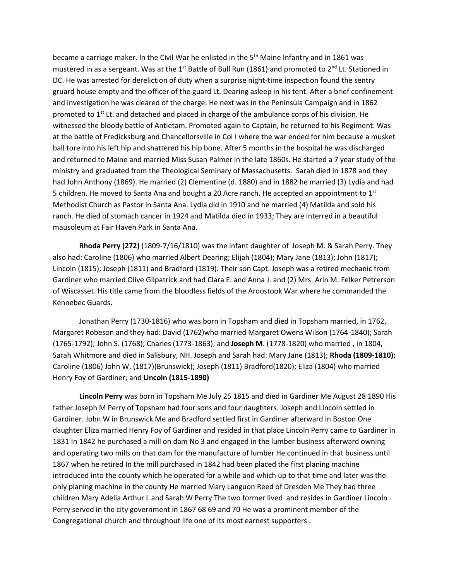became a carriage maker. In the Civil War he enlisted in the 5<sup>th</sup> Maine Infantry and in 1861 was mustered in as a sergeant. Was at the 1<sup>st</sup> Battle of Bull Run (1861) and promoted to 2<sup>nd</sup> Lt. Stationed in DC. He was arrested for dereliction of duty when a surprise night-time inspection found the sentry gruard house empty and the officer of the guard Lt. Dearing asleep in his tent. After a brief confinement and investigation he was cleared of the charge. He next was in the Peninsula Campaign and in 1862 promoted to  $1<sup>st</sup>$  Lt. and detached and placed in charge of the ambulance corps of his division. He witnessed the bloody battle of Antietam. Promoted again to Captain, he returned to his Regiment. Was at the battle of Fredicksburg and Chancellorsville in Col I where the war ended for him because a musket ball tore into his left hip and shattered his hip bone. After 5 months in the hospital he was discharged and returned to Maine and married Miss Susan Palmer in the late 1860s. He started a 7 year study of the ministry and graduated from the Theological Seminary of Massachusetts. Sarah died in 1878 and they had John Anthony (1869). He married (2) Clementine (d. 1880) and in 1882 he married (3) Lydia and had 5 children. He moved to Santa Ana and bought a 20 Acre ranch. He accepted an appointment to  $1<sup>st</sup>$ Methodist Church as Pastor in Santa Ana. Lydia did in 1910 and he married (4) Matilda and sold his ranch. He died of stomach cancer in 1924 and Matilda died in 1933; They are interred in a beautiful mausoleum at Fair Haven Park in Santa Ana.

**Rhoda Perry (272)** (1809-7/16/1810) was the infant daughter of Joseph M. & Sarah Perry. They also had: Caroline (1806) who married Albert Dearing; Elijah (1804); Mary Jane (1813); John (1817); Lincoln (1815); Joseph (1811) and Bradford (1819). Their son Capt. Joseph was a retired mechanic from Gardiner who married Olive Gilpatrick and had Clara E. and Anna J. and (2) Mrs. Arin M. Felker Petrerson of Wiscasset. His title came from the bloodless fields of the Aroostook War where he commanded the Kennebec Guards.

Jonathan Perry (1730-1816) who was born in Topsham and died in Topsham married, in 1762, Margaret Robeson and they had: David (1762)who married Margaret Owens Wilson (1764-1840); Sarah (1765-1792); John S. (1768); Charles (1773-1863); and **Joseph M**. (1778-1820) who married , in 1804, Sarah Whitmore and died in Salisbury, NH. Joseph and Sarah had: Mary Jane (1813); **Rhoda (1809-1810);**  Caroline (1806) John W. (1817)(Brunswick); Joseph (1811) Bradford(1820); Eliza (1804) who married Henry Foy of Gardiner; and **Lincoln (1815-1890)**

**Lincoln Perry** was born in Topsham Me July 25 1815 and died in Gardiner Me August 28 1890 His father Joseph M Perry of Topsham had four sons and four daughters. Joseph and Lincoln settled in Gardiner. John W in Brunswick Me and Bradford settled first in Gardiner afterward in Boston One daughter Eliza married Henry Foy of Gardiner and resided in that place Lincoln Perry came to Gardiner in 1831 In 1842 he purchased a mill on dam No 3 and engaged in the lumber business afterward owning and operating two mills on that dam for the manufacture of lumber He continued in that business until 1867 when he retired In the mill purchased in 1842 had been placed the first planing machine introduced into the county which he operated for a while and which up to that time and later was the only planing machine in the county He married Mary Languon Reed of Dresden Me They had three children Mary Adelia Arthur L and Sarah W Perry The two former lived and resides in Gardiner Lincoln Perry served in the city government in 1867 68 69 and 70 He was a prominent member of the Congregational church and throughout life one of its most earnest supporters .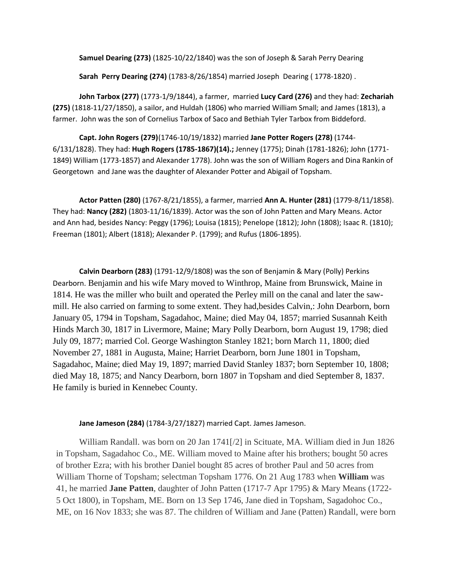**Samuel Dearing (273)** (1825-10/22/1840) was the son of Joseph & Sarah Perry Dearing

**Sarah Perry Dearing (274)** (1783-8/26/1854) married Joseph Dearing ( 1778-1820) .

**John Tarbox (277)** (1773-1/9/1844), a farmer, married **Lucy Card (276)** and they had: **Zechariah (275)** (1818-11/27/1850), a sailor, and Huldah (1806) who married William Small; and James (1813), a farmer. John was the son of Cornelius Tarbox of Saco and Bethiah Tyler Tarbox from Biddeford.

**Capt. John Rogers (279)**(1746-10/19/1832) married **Jane Potter Rogers (278)** (1744- 6/131/1828). They had: **[Hugh Rogers \(1785-1867\)\(](http://www.findagrave.com/cgi-bin/fg.cgi?page=gr&GRid=65300244)14).;** Jenney (1775); Dinah (1781-1826); John (1771- 1849) William (1773-1857) and Alexander 1778). John was the son of William Rogers and Dina Rankin of Georgetown and Jane was the daughter of Alexander Potter and Abigail of Topsham.

**Actor Patten (280)** (1767-8/21/1855), a farmer, married **Ann A. Hunter (281)** (1779-8/11/1858). They had: **Nancy (282)** (1803-11/16/1839). Actor was the son of John Patten and Mary Means. Actor and Ann had, besides Nancy: Peggy (1796); Louisa (1815); Penelope (1812); John (1808); Isaac R. (1810); Freeman (1801); Albert (1818); Alexander P. (1799); and Rufus (1806-1895).

**Calvin Dearborn (283)** (1791-12/9/1808) was the son of Benjamin & Mary (Polly) Perkins Dearborn. Benjamin and his wife Mary moved to Winthrop, Maine from Brunswick, Maine in 1814. He was the miller who built and operated the Perley mill on the canal and later the sawmill. He also carried on farming to some extent. They had,besides Calvin,: John Dearborn, born January 05, 1794 in Topsham, Sagadahoc, Maine; died May 04, 1857; married Susannah Keith Hinds March 30, 1817 in Livermore, Maine; Mary Polly Dearborn, born August 19, 1798; died July 09, 1877; married Col. George Washington Stanley 1821; born March 11, 1800; died November 27, 1881 in Augusta, Maine; Harriet Dearborn, born June 1801 in Topsham, Sagadahoc, Maine; died May 19, 1897; married David Stanley 1837; born September 10, 1808; died May 18, 1875; and Nancy Dearborn, born 1807 in Topsham and died September 8, 1837. He family is buried in Kennebec County.

**Jane Jameson (284)** (1784-3/27/1827) married Capt. James Jameson.

William Randall. was born on 20 Jan 1741[/2] in Scituate, MA. William died in Jun 1826 in Topsham, Sagadahoc Co., ME. William moved to Maine after his brothers; bought 50 acres of brother Ezra; with his brother Daniel bought 85 acres of brother Paul and 50 acres from William Thorne of Topsham; selectman Topsham 1776. On 21 Aug 1783 when **William** was 41, he married **Jane Patten**, daughter of John Patten (1717-7 Apr 1795) & Mary Means (1722- 5 Oct 1800), in Topsham, ME. Born on 13 Sep 1746, Jane died in Topsham, Sagadohoc Co., ME, on 16 Nov 1833; she was 87. The children of William and Jane (Patten) Randall, were born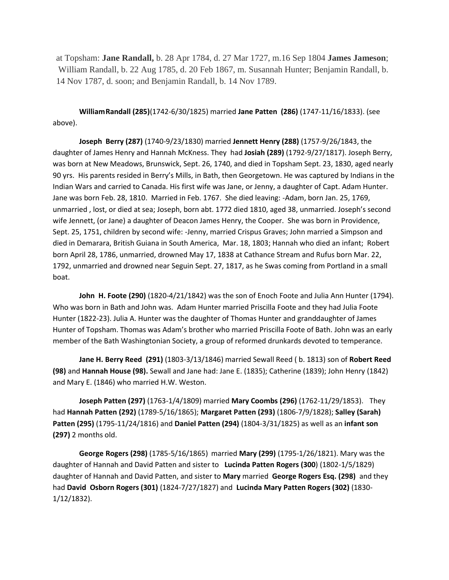at Topsham: **Jane Randall,** b. 28 Apr 1784, d. 27 Mar 1727, m.16 Sep 1804 **James Jameson**; William Randall, b. 22 Aug 1785, d. 20 Feb 1867, m. Susannah Hunter; Benjamin Randall, b. 14 Nov 1787, d. soon; and Benjamin Randall, b. 14 Nov 1789.

**WilliamRandall (285)**(1742-6/30/1825) married **Jane Patten (286)** (1747-11/16/1833). (see above).

**Joseph Berry (287)** (1740-9/23/1830) married **Jennett Henry (288)** (1757-9/26/1843, the daughter of James Henry and Hannah McKness. They had **Josiah (289)** (1792-9/27/1817). Joseph Berry, was born at New Meadows, Brunswick, Sept. 26, 1740, and died in Topsham Sept. 23, 1830, aged nearly 90 yrs. His parents resided in Berry's Mills, in Bath, then Georgetown. He was captured by Indians in the Indian Wars and carried to Canada. His first wife was Jane, or Jenny, a daughter of Capt. Adam Hunter. Jane was born Feb. 28, 1810. Married in Feb. 1767. She died leaving: -Adam, born Jan. 25, 1769, unmarried , lost, or died at sea; Joseph, born abt. 1772 died 1810, aged 38, unmarried. Joseph's second wife Jennett, (or Jane) a daughter of Deacon James Henry, the Cooper. She was born in Providence, Sept. 25, 1751, children by second wife: -Jenny, married Crispus Graves; John married a Simpson and died in Demarara, British Guiana in South America, Mar. 18, 1803; Hannah who died an infant; Robert born April 28, 1786, unmarried, drowned May 17, 1838 at Cathance Stream and Rufus born Mar. 22, 1792, unmarried and drowned near Seguin Sept. 27, 1817, as he Swas coming from Portland in a small boat.

**John H. Foote (290)** (1820-4/21/1842) was the son of Enoch Foote and Julia Ann Hunter (1794). Who was born in Bath and John was. Adam Hunter married Priscilla Foote and they had Julia Foote Hunter (1822-23). Julia A. Hunter was the daughter of Thomas Hunter and granddaughter of James Hunter of Topsham. Thomas was Adam's brother who married Priscilla Foote of Bath. John was an early member of the Bath Washingtonian Society, a group of reformed drunkards devoted to temperance.

**Jane H. Berry Reed (291)** (1803-3/13/1846) married Sewall Reed ( b. 1813) son of **Robert Reed (98)** and **Hannah House (98).** Sewall and Jane had: Jane E. (1835); Catherine (1839); John Henry (1842) and Mary E. (1846) who married H.W. Weston.

**Joseph Patten (297)** (1763-1/4/1809) married **Mary Coombs (296)** (1762-11/29/1853). They had **Hannah Patten (292)** (1789-5/16/1865); **Margaret Patten (293)** (1806-7/9/1828); **Salley (Sarah) Patten (295)** (1795-11/24/1816) and **Daniel Patten (294)** (1804-3/31/1825) as well as an **infant son (297)** 2 months old.

**George Rogers (298)** (1785-5/16/1865) married **Mary (299)** (1795-1/26/1821). Mary was the daughter of Hannah and David Patten and sister to **Lucinda Patten Rogers (300**) (1802-1/5/1829) daughter of Hannah and David Patten, and sister to **Mary** married **George Rogers Esq. (298)** and they had **David Osborn Rogers (301)** (1824-7/27/1827) and **Lucinda Mary Patten Rogers (302)** (1830- 1/12/1832).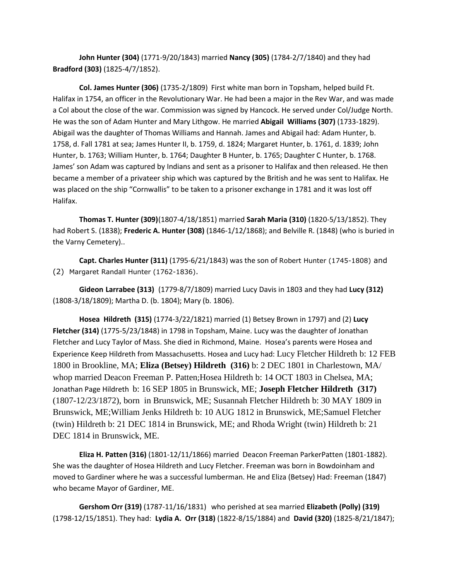**John Hunter (304)** (1771-9/20/1843) married **Nancy (305)** (1784-2/7/1840) and they had **Bradford (303)** (1825-4/7/1852).

**Col. James Hunter (306)** (1735-2/1809) First white man born in Topsham, helped build Ft. Halifax in 1754, an officer in the Revolutionary War. He had been a major in the Rev War, and was made a Col about the close of the war. Commission was signed by Hancock. He served under Col/Judge North. He was the son of Adam Hunter and Mary Lithgow. He married **Abigail Williams (307)** (1733-1829). Abigail was the daughter of Thomas Williams and Hannah. James and Abigail had: Adam Hunter, b. 1758, d. Fall 1781 at sea; James Hunter II, b. 1759, d. 1824; Margaret Hunter, b. 1761, d. 1839; John Hunter, b. 1763; William Hunter, b. 1764; Daughter B Hunter, b. 1765; Daughter C Hunter, b. 1768. James' son Adam was captured by Indians and sent as a prisoner to Halifax and then released. He then became a member of a privateer ship which was captured by the British and he was sent to Halifax. He was placed on the ship "Cornwallis" to be taken to a prisoner exchange in 1781 and it was lost off Halifax.

**Thomas T. Hunter (309)**(1807-4/18/1851) married **Sarah Maria (310)** (1820-5/13/1852). They had Robert S. (1838); **Frederic A. Hunter (308)** (1846-1/12/1868); and Belville R. (1848) (who is buried in the Varny Cemetery)..

**Capt. Charles Hunter (311)** (1795-6/21/1843) was the son of [Robert Hunter \(1745-1808\)](http://www.findagrave.com/cgi-bin/fg.cgi?page=gr&GRid=40640818) and (2) Margaret Randall [Hunter \(1762-1836\)](http://www.findagrave.com/cgi-bin/fg.cgi?page=gr&GRid=62806216).

**Gideon Larrabee (313)** (1779-8/7/1809) married Lucy Davis in 1803 and they had **Lucy (312)** (1808-3/18/1809); Martha D. (b. 1804); Mary (b. 1806).

**Hosea Hildreth (315)** (1774-3/22/1821) married (1) Betsey Brown in 1797) and (2) **Lucy Fletcher (314)** (1775-5/23/1848) in 1798 in Topsham, Maine. Lucy was the daughter of Jonathan Fletcher and Lucy Taylor of Mass. She died in Richmond, Maine. Hosea's parents were Hosea and Experience Keep Hildreth from Massachusetts. Hosea and Lucy had: [Lucy Fletcher Hildreth](http://wc.rootsweb.ancestry.com/cgi-bin/igm.cgi?op=GET&db=zehm&id=I1305) b: 12 FEB 1800 in Brookline, MA; **[Eliza \(Betsey\) Hildreth](http://wc.rootsweb.ancestry.com/cgi-bin/igm.cgi?op=GET&db=zehm&id=I1306) (316)** b: 2 DEC 1801 in Charlestown, MA/ whop married Deacon Freeman P. Patten;[Hosea Hildreth](http://wc.rootsweb.ancestry.com/cgi-bin/igm.cgi?op=GET&db=zehm&id=I1307) b: 14 OCT 1803 in Chelsea, MA; Jonathan Page Hildreth b: 16 SEP 1805 in Brunswick, ME; **[Joseph Fletcher Hildreth](http://wc.rootsweb.ancestry.com/cgi-bin/igm.cgi?op=GET&db=zehm&id=I1309) (317)** (1807-12/23/1872), born in Brunswick, ME; [Susannah Fletcher Hildreth](http://wc.rootsweb.ancestry.com/cgi-bin/igm.cgi?op=GET&db=zehm&id=I1310) b: 30 MAY 1809 in Brunswick, ME[;William Jenks Hildreth](http://wc.rootsweb.ancestry.com/cgi-bin/igm.cgi?op=GET&db=zehm&id=I1311) b: 10 AUG 1812 in Brunswick, ME[;Samuel Fletcher](http://wc.rootsweb.ancestry.com/cgi-bin/igm.cgi?op=GET&db=zehm&id=I1312)  [\(twin\) Hildreth](http://wc.rootsweb.ancestry.com/cgi-bin/igm.cgi?op=GET&db=zehm&id=I1312) b: 21 DEC 1814 in Brunswick, ME; and [Rhoda Wright \(twin\) Hildreth](http://wc.rootsweb.ancestry.com/cgi-bin/igm.cgi?op=GET&db=zehm&id=I1313) b: 21 DEC 1814 in Brunswick, ME.

**Eliza H. Patten (316)** (1801-12/11/1866) married Deacon Freeman ParkerPatten (1801-1882). She was the daughter of Hosea Hildreth and Lucy Fletcher. Freeman was born in Bowdoinham and moved to Gardiner where he was a successful lumberman. He and Eliza (Betsey) Had: Freeman (1847) who became Mayor of Gardiner, ME.

**Gershom Orr (319)** (1787-11/16/1831) who perished at sea married **Elizabeth (Polly) (319)** (1798-12/15/1851). They had: **Lydia A. Orr (318)** (1822-8/15/1884) and **David (320)** (1825-8/21/1847);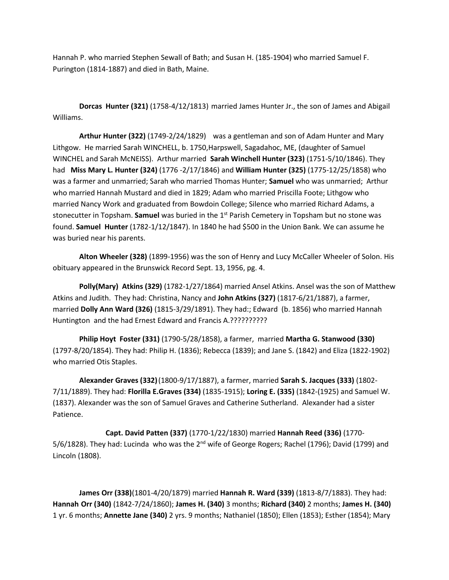Hannah P. who married Stephen Sewall of Bath; and Susan H. (185-1904) who married Samuel F. Purington (1814-1887) and died in Bath, Maine.

**Dorcas Hunter (321)** (1758-4/12/1813) married James Hunter Jr., the son of James and Abigail Williams.

**Arthur Hunter (322)** (1749-2/24/1829) was a gentleman and son of Adam Hunter and Mary Lithgow. He married Sarah WINCHELL, b. 1750,Harpswell, Sagadahoc, ME, (daughter of Samuel WINCHEL and Sarah McNEISS). Arthur married **Sarah Winchell Hunter (323)** (1751-5/10/1846). They had **Miss Mary L. Hunter (324)** (1776 -2/17/1846) and **William Hunter (325)** (1775-12/25/1858) who was a farmer and unmarried; Sarah who married Thomas Hunter; **Samuel** who was unmarried; Arthur who married Hannah Mustard and died in 1829; Adam who married Priscilla Foote; Lithgow who married Nancy Work and graduated from Bowdoin College; Silence who married Richard Adams, a stonecutter in Topsham. **Samuel** was buried in the 1st Parish Cemetery in Topsham but no stone was found. **Samuel Hunter** (1782-1/12/1847). In 1840 he had \$500 in the Union Bank. We can assume he was buried near his parents.

**Alton Wheeler (328)** (1899-1956) was the son of Henry and Lucy McCaller Wheeler of Solon. His obituary appeared in the Brunswick Record Sept. 13, 1956, pg. 4.

**Polly(Mary) Atkins (329)** (1782-1/27/1864) married Ansel Atkins. Ansel was the son of Matthew Atkins and Judith. They had: Christina, Nancy and **John Atkins (327)** (1817-6/21/1887), a farmer, married **Dolly Ann Ward (326)** (1815-3/29/1891). They had:; Edward (b. 1856) who married Hannah Huntington and the had Ernest Edward and Francis A.??????????

**Philip Hoyt Foster (331)** (1790-5/28/1858), a farmer, married **Martha G. Stanwood (330)** (1797-8/20/1854). They had: Philip H. (1836); Rebecca (1839); and Jane S. (1842) and Eliza (1822-1902) who married Otis Staples.

**Alexander Graves (332)**(1800-9/17/1887), a farmer, married **Sarah S. Jacques (333)** (1802- 7/11/1889). They had: **Florilla E.Graves (334)** (1835-1915); **Loring E. (335)** (1842-(1925) and Samuel W. (1837). Alexander was the son of Samuel Graves and Catherine Sutherland. Alexander had a sister Patience.

**Capt. David Patten (337)** (1770-1/22/1830) married **Hannah Reed (336)** (1770- 5/6/1828). They had: Lucinda who was the  $2^{nd}$  wife of George Rogers; Rachel (1796); David (1799) and Lincoln (1808).

**James Orr (338)**(1801-4/20/1879) married **Hannah R. Ward (339)** (1813-8/7/1883). They had: **Hannah Orr (340)** (1842-7/24/1860); **James H. (340)** 3 months; **Richard (340)** 2 months; **James H. (340)** 1 yr. 6 months; **Annette Jane (340)** 2 yrs. 9 months; Nathaniel (1850); Ellen (1853); Esther (1854); Mary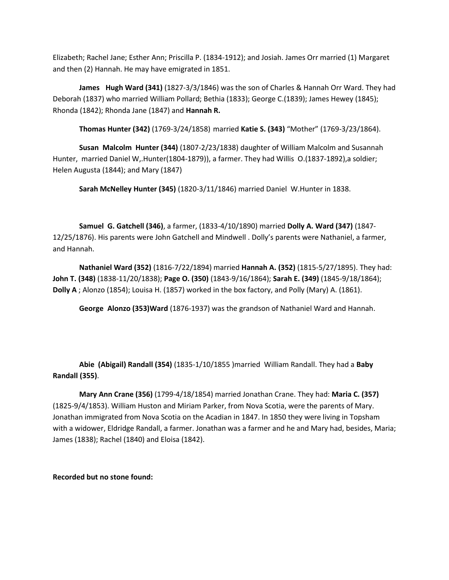Elizabeth; Rachel Jane; Esther Ann; Priscilla P. (1834-1912); and Josiah. James Orr married (1) Margaret and then (2) Hannah. He may have emigrated in 1851.

**James Hugh Ward (341)** (1827-3/3/1846) was the son of Charles & Hannah Orr Ward. They had Deborah (1837) who married William Pollard; Bethia (1833); George C.(1839); James Hewey (1845); Rhonda (1842); Rhonda Jane (1847) and **Hannah R.**

**Thomas Hunter (342)** (1769-3/24/1858) married **Katie S. (343)** "Mother" (1769-3/23/1864).

**Susan Malcolm Hunter (344)** (1807-2/23/1838) daughter of William Malcolm and Susannah Hunter, married Daniel W,.Hunter(1804-1879)), a farmer. They had Willis O.(1837-1892),a soldier; Helen Augusta (1844); and Mary (1847)

**Sarah McNelley Hunter (345)** (1820-3/11/1846) married Daniel W.Hunter in 1838.

**Samuel G. Gatchell (346)**, a farmer, (1833-4/10/1890) married **Dolly A. Ward (347)** (1847- 12/25/1876). His parents were John Gatchell and Mindwell . Dolly's parents were Nathaniel, a farmer, and Hannah.

**Nathaniel Ward (352)** (1816-7/22/1894) married **Hannah A. (352)** (1815-5/27/1895). They had: **John T. (348)** (1838-11/20/1838); **Page O. (350)** (1843-9/16/1864); **Sarah E. (349)** (1845-9/18/1864); **Dolly A** ; Alonzo (1854); Louisa H. (1857) worked in the box factory, and Polly (Mary) A. (1861).

**George Alonzo (353)Ward** (1876-1937) was the grandson of Nathaniel Ward and Hannah.

**Abie (Abigail) Randall (354)** (1835-1/10/1855 )married William Randall. They had a **Baby Randall (355)**.

**Mary Ann Crane (356)** (1799-4/18/1854) married Jonathan Crane. They had: **Maria C. (357)** (1825-9/4/1853). William Huston and Miriam Parker, from Nova Scotia, were the parents of Mary. Jonathan immigrated from Nova Scotia on the Acadian in 1847. In 1850 they were living in Topsham with a widower, Eldridge Randall, a farmer. Jonathan was a farmer and he and Mary had, besides, Maria; James (1838); Rachel (1840) and Eloisa (1842).

**Recorded but no stone found:**